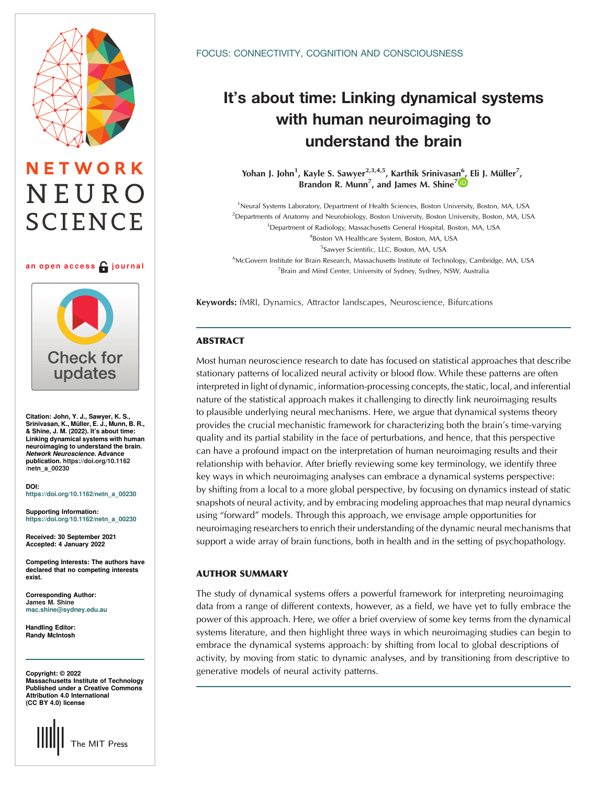# NETWORK NEURO **SCIENCE**

# an open access  $\bigcap$  journal



Citation: John, Y. J., Sawyer, K. S., Srinivasan, K., Müller, E. J., Munn, B. R., & Shine, J. M. (2022). It's about time: Linking dynamical systems with human neuroimaging to understand the brain. Network Neuroscience. Advance publication. [https://doi.org/10.1162](https://doi.org/10.1162/netn_a_00230) [/netn\\_a\\_00230](https://doi.org/10.1162/netn_a_00230)

DOI: [https://doi.org/10.1162/netn\\_a\\_00230](https://doi.org/10.1162/netn_a_00230)

Supporting Information: [https://doi.org/10.1162/netn\\_a\\_00230](https://doi.org/10.1162/netn_a_00230)

Received: 30 September 2021 Accepted: 4 January 2022

Competing Interests: The authors have declared that no competing interests exist.

Corresponding Author: James M. Shine [mac.shine@sydney.edu.au](mailto:mac.shine@sydney.edu.au)

Handling Editor: Randy McIntosh

Copyright: © 2022 Massachusetts Institute of Technology Published under a Creative Commons Attribution 4.0 International (CC BY 4.0) license

The MIT Press

# It's about time: Linking dynamical systems with human neuroimaging to understand the brain

Yoha[n](https://orcid.org/0000-0003-1762-5499) J. John<sup>1</sup>, Kayle S. Sawyer<sup>2,3,4,5</sup>, Karthik Srinivasan<sup>6</sup>, Eli J. Müller<sup>7</sup>, Brandon R. Munn<sup>7</sup>, and James M. Shine<sup>7</sup>

<sup>1</sup>Neural Systems Laboratory, Department of Health Sciences, Boston University, Boston, MA, USA <sup>2</sup> Departments of Anatomy and Neurobiology, Boston University, Boston University, Boston, MA, USA <sup>3</sup>Department of Radiology, Massachusetts General Hospital, Boston, MA, USA 4 Boston VA Healthcare System, Boston, MA, USA 5 Sawyer Scientific, LLC, Boston, MA, USA <sup>6</sup>McGovern Institute for Brain Research, Massachusetts Institute of Technology, Cambridge, MA, USA <sup>7</sup> Brain and Mind Center, University of Sydney, Sydney, NSW, Australia

Keywords: fMRI, Dynamics, Attractor landscapes, Neuroscience, Bifurcations

# ABSTRACT

Most human neuroscience research to date has focused on statistical approaches that describe stationary patterns of localized neural activity or blood flow. While these patterns are often interpreted in light of dynamic, information-processing concepts, the static, local, and inferential nature of the statistical approach makes it challenging to directly link neuroimaging results to plausible underlying neural mechanisms. Here, we argue that dynamical systems theory provides the crucial mechanistic framework for characterizing both the brain's time-varying quality and its partial stability in the face of perturbations, and hence, that this perspective can have a profound impact on the interpretation of human neuroimaging results and their relationship with behavior. After briefly reviewing some key terminology, we identify three key ways in which neuroimaging analyses can embrace a dynamical systems perspective: by shifting from a local to a more global perspective, by focusing on dynamics instead of static snapshots of neural activity, and by embracing modeling approaches that map neural dynamics using "forward" models. Through this approach, we envisage ample opportunities for neuroimaging researchers to enrich their understanding of the dynamic neural mechanisms that support a wide array of brain functions, both in health and in the setting of psychopathology.

# AUTHOR SUMMARY

The study of dynamical systems offers a powerful framework for interpreting neuroimaging data from a range of different contexts, however, as a field, we have yet to fully embrace the power of this approach. Here, we offer a brief overview of some key terms from the dynamical systems literature, and then highlight three ways in which neuroimaging studies can begin to embrace the dynamical systems approach: by shifting from local to global descriptions of activity, by moving from static to dynamic analyses, and by transitioning from descriptive to generative models of neural activity patterns.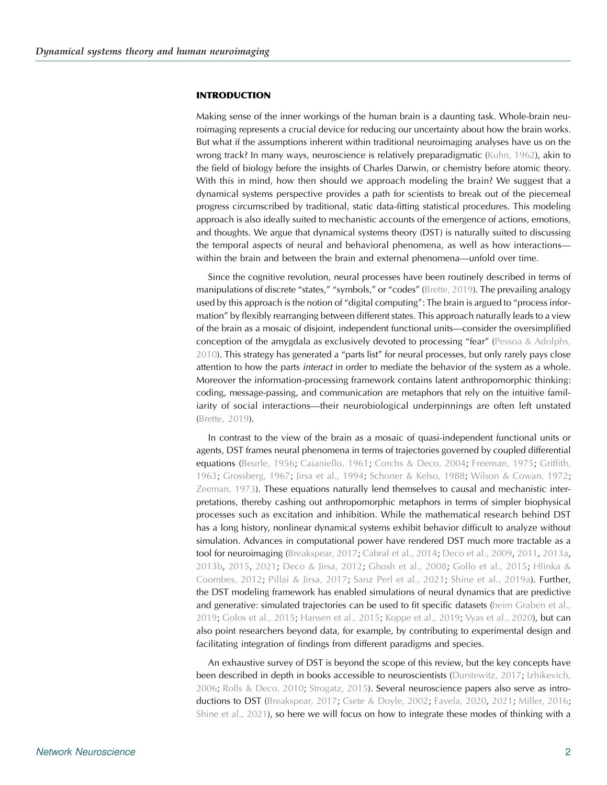# INTRODUCTION

Making sense of the inner workings of the human brain is a daunting task. Whole-brain neuroimaging represents a crucial device for reducing our uncertainty about how the brain works. But what if the assumptions inherent within traditional neuroimaging analyses have us on the wrong track? In many ways, neuroscience is relatively preparadigmatic [\(Kuhn, 1962\)](#page-16-0), akin to the field of biology before the insights of Charles Darwin, or chemistry before atomic theory. With this in mind, how then should we approach modeling the brain? We suggest that a dynamical systems perspective provides a path for scientists to break out of the piecemeal progress circumscribed by traditional, static data-fitting statistical procedures. This modeling approach is also ideally suited to mechanistic accounts of the emergence of actions, emotions, and thoughts. We argue that dynamical systems theory (DST) is naturally suited to discussing the temporal aspects of neural and behavioral phenomena, as well as how interactions within the brain and between the brain and external phenomena—unfold over time.

Since the cognitive revolution, neural processes have been routinely described in terms of manipulations of discrete "states," "symbols," or "codes" [\(Brette, 2019](#page-14-0)). The prevailing analogy used by this approach is the notion of "digital computing": The brain is argued to "process information" by flexibly rearranging between different states. This approach naturally leads to a view of the brain as a mosaic of disjoint, independent functional units—consider the oversimplified conception of the amygdala as exclusively devoted to processing "fear" [\(Pessoa & Adolphs,](#page-17-0) [2010\)](#page-17-0). This strategy has generated a "parts list" for neural processes, but only rarely pays close attention to how the parts interact in order to mediate the behavior of the system as a whole. Moreover the information-processing framework contains latent anthropomorphic thinking: coding, message-passing, and communication are metaphors that rely on the intuitive familiarity of social interactions—their neurobiological underpinnings are often left unstated ([Brette, 2019](#page-14-0)).

In contrast to the view of the brain as a mosaic of quasi-independent functional units or agents, DST frames neural phenomena in terms of trajectories governed by coupled differential equations ([Beurle, 1956](#page-14-0); [Caianiello, 1961](#page-14-0); [Corchs & Deco, 2004;](#page-14-0) [Freeman, 1975;](#page-15-0) [Griffith,](#page-15-0) [1963;](#page-15-0) [Grossberg, 1967;](#page-15-0) [Jirsa et al., 1994;](#page-16-0) [Schoner & Kelso, 1988](#page-18-0); [Wilson & Cowan, 1972](#page-19-0); [Zeeman, 1973\)](#page-19-0). These equations naturally lend themselves to causal and mechanistic interpretations, thereby cashing out anthropomorphic metaphors in terms of simpler biophysical processes such as excitation and inhibition. While the mathematical research behind DST has a long history, nonlinear dynamical systems exhibit behavior difficult to analyze without simulation. Advances in computational power have rendered DST much more tractable as a tool for neuroimaging ([Breakspear, 2017;](#page-14-0) [Cabral et al., 2014](#page-14-0); [Deco et al., 2009,](#page-14-0) [2011,](#page-14-0) [2013a](#page-14-0), [2013b,](#page-14-0) [2015,](#page-14-0) [2021](#page-14-0); [Deco & Jirsa, 2012;](#page-14-0) [Ghosh et al., 2008;](#page-15-0) [Gollo et al., 2015](#page-15-0); [Hlinka &](#page-15-0) [Coombes, 2012;](#page-15-0) [Pillai & Jirsa, 2017;](#page-17-0) [Sanz Perl et al., 2021;](#page-17-0) [Shine et al., 2019a](#page-18-0)). Further, the DST modeling framework has enabled simulations of neural dynamics that are predictive and generative: simulated trajectories can be used to fit specific datasets ([beim Graben et al.,](#page-13-0) [2019;](#page-13-0) [Golos et al., 2015;](#page-15-0) [Hansen et al., 2015](#page-15-0); [Koppe et al., 2019](#page-16-0); [Vyas et al., 2020](#page-18-0)), but can also point researchers beyond data, for example, by contributing to experimental design and facilitating integration of findings from different paradigms and species.

An exhaustive survey of DST is beyond the scope of this review, but the key concepts have been described in depth in books accessible to neuroscientists [\(Durstewitz, 2017](#page-14-0); [Izhikevich,](#page-16-0) [2006;](#page-16-0) [Rolls & Deco, 2010](#page-17-0); [Strogatz, 2015](#page-18-0)). Several neuroscience papers also serve as introductions to DST ([Breakspear, 2017](#page-14-0); [Csete & Doyle, 2002](#page-14-0); [Favela, 2020,](#page-15-0) [2021](#page-15-0); [Miller, 2016](#page-16-0); [Shine et al., 2021\)](#page-18-0), so here we will focus on how to integrate these modes of thinking with a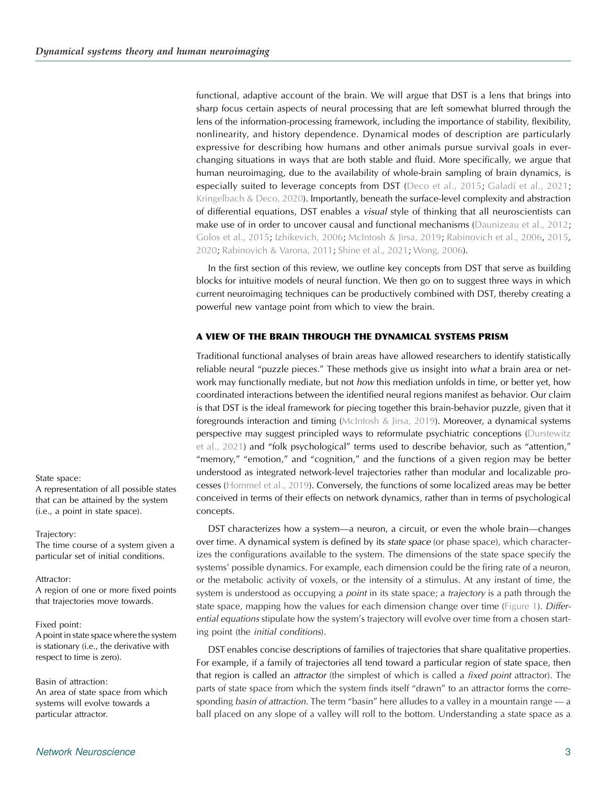functional, adaptive account of the brain. We will argue that DST is a lens that brings into sharp focus certain aspects of neural processing that are left somewhat blurred through the lens of the information-processing framework, including the importance of stability, flexibility, nonlinearity, and history dependence. Dynamical modes of description are particularly expressive for describing how humans and other animals pursue survival goals in everchanging situations in ways that are both stable and fluid. More specifically, we argue that human neuroimaging, due to the availability of whole-brain sampling of brain dynamics, is especially suited to leverage concepts from DST [\(Deco et al., 2015](#page-14-0); [Galadí et al., 2021](#page-15-0); [Kringelbach & Deco, 2020\)](#page-16-0). Importantly, beneath the surface-level complexity and abstraction of differential equations, DST enables a visual style of thinking that all neuroscientists can make use of in order to uncover causal and functional mechanisms ([Daunizeau et al., 2012](#page-14-0); [Golos et al., 2015;](#page-15-0) [Izhikevich, 2006](#page-16-0); [McIntosh & Jirsa, 2019](#page-16-0); [Rabinovich et al., 2006,](#page-17-0) [2015](#page-17-0), [2020;](#page-17-0) [Rabinovich & Varona, 2011;](#page-17-0) [Shine et al., 2021;](#page-18-0) [Wong, 2006](#page-19-0)).

In the first section of this review, we outline key concepts from DST that serve as building blocks for intuitive models of neural function. We then go on to suggest three ways in which current neuroimaging techniques can be productively combined with DST, thereby creating a powerful new vantage point from which to view the brain.

# A VIEW OF THE BRAIN THROUGH THE DYNAMICAL SYSTEMS PRISM

Traditional functional analyses of brain areas have allowed researchers to identify statistically reliable neural "puzzle pieces." These methods give us insight into what a brain area or network may functionally mediate, but not how this mediation unfolds in time, or better yet, how coordinated interactions between the identified neural regions manifest as behavior. Our claim is that DST is the ideal framework for piecing together this brain-behavior puzzle, given that it foregrounds interaction and timing ([McIntosh & Jirsa, 2019\)](#page-16-0). Moreover, a dynamical systems perspective may suggest principled ways to reformulate psychiatric conceptions [\(Durstewitz](#page-15-0) [et al., 2021\)](#page-15-0) and "folk psychological" terms used to describe behavior, such as "attention," "memory," "emotion," and "cognition," and the functions of a given region may be better understood as integrated network-level trajectories rather than modular and localizable processes [\(Hommel et al., 2019\)](#page-15-0). Conversely, the functions of some localized areas may be better conceived in terms of their effects on network dynamics, rather than in terms of psychological concepts.

DST characterizes how a system—a neuron, a circuit, or even the whole brain—changes over time. A dynamical system is defined by its *state space* (or phase space), which characterizes the configurations available to the system. The dimensions of the state space specify the systems' possible dynamics. For example, each dimension could be the firing rate of a neuron, or the metabolic activity of voxels, or the intensity of a stimulus. At any instant of time, the system is understood as occupying a *point* in its state space; a trajectory is a path through the state space, mapping how the values for each dimension change over time ([Figure 1](#page-3-0)). Differential equations stipulate how the system's trajectory will evolve over time from a chosen starting point (the initial conditions).

DST enables concise descriptions of families of trajectories that share qualitative properties. For example, if a family of trajectories all tend toward a particular region of state space, then that region is called an *attractor* (the simplest of which is called a *fixed point* attractor). The parts of state space from which the system finds itself "drawn" to an attractor forms the corresponding basin of attraction. The term "basin" here alludes to a valley in a mountain range — a ball placed on any slope of a valley will roll to the bottom. Understanding a state space as a

State space:

A representation of all possible states that can be attained by the system (i.e., a point in state space).

## Trajectory:

The time course of a system given a particular set of initial conditions.

#### Attractor:

A region of one or more fixed points that trajectories move towards.

#### Fixed point:

A point in state space where the system is stationary (i.e., the derivative with respect to time is zero).

## Basin of attraction:

An area of state space from which systems will evolve towards a particular attractor.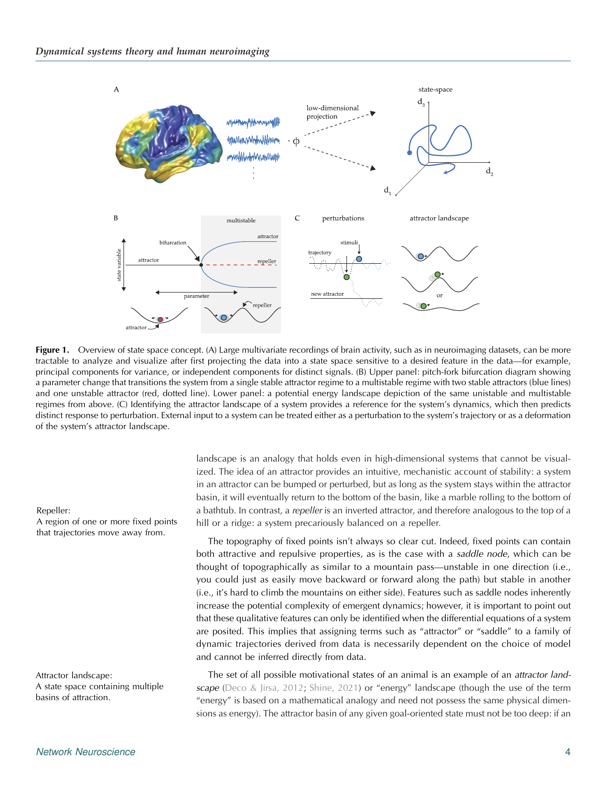<span id="page-3-0"></span>

Figure 1. Overview of state space concept. (A) Large multivariate recordings of brain activity, such as in neuroimaging datasets, can be more tractable to analyze and visualize after first projecting the data into a state space sensitive to a desired feature in the data—for example, principal components for variance, or independent components for distinct signals. (B) Upper panel: pitch-fork bifurcation diagram showing a parameter change that transitions the system from a single stable attractor regime to a multistable regime with two stable attractors (blue lines) and one unstable attractor (red, dotted line). Lower panel: a potential energy landscape depiction of the same unistable and multistable regimes from above. (C) Identifying the attractor landscape of a system provides a reference for the system's dynamics, which then predicts distinct response to perturbation. External input to a system can be treated either as a perturbation to the system's trajectory or as a deformation of the system's attractor landscape.

Repeller:

A region of one or more fixed points that trajectories move away from.

Attractor landscape: A state space containing multiple basins of attraction.

landscape is an analogy that holds even in high-dimensional systems that cannot be visualized. The idea of an attractor provides an intuitive, mechanistic account of stability: a system in an attractor can be bumped or perturbed, but as long as the system stays within the attractor basin, it will eventually return to the bottom of the basin, like a marble rolling to the bottom of a bathtub. In contrast, a repeller is an inverted attractor, and therefore analogous to the top of a hill or a ridge: a system precariously balanced on a repeller.

The topography of fixed points isn't always so clear cut. Indeed, fixed points can contain both attractive and repulsive properties, as is the case with a saddle node, which can be thought of topographically as similar to a mountain pass—unstable in one direction (i.e., you could just as easily move backward or forward along the path) but stable in another (i.e., it's hard to climb the mountains on either side). Features such as saddle nodes inherently increase the potential complexity of emergent dynamics; however, it is important to point out that these qualitative features can only be identified when the differential equations of a system are posited. This implies that assigning terms such as "attractor" or "saddle" to a family of dynamic trajectories derived from data is necessarily dependent on the choice of model and cannot be inferred directly from data.

The set of all possible motivational states of an animal is an example of an attractor land-scape ([Deco & Jirsa, 2012](#page-14-0); [Shine, 2021\)](#page-18-0) or "energy" landscape (though the use of the term "energy" is based on a mathematical analogy and need not possess the same physical dimensions as energy). The attractor basin of any given goal-oriented state must not be too deep: if an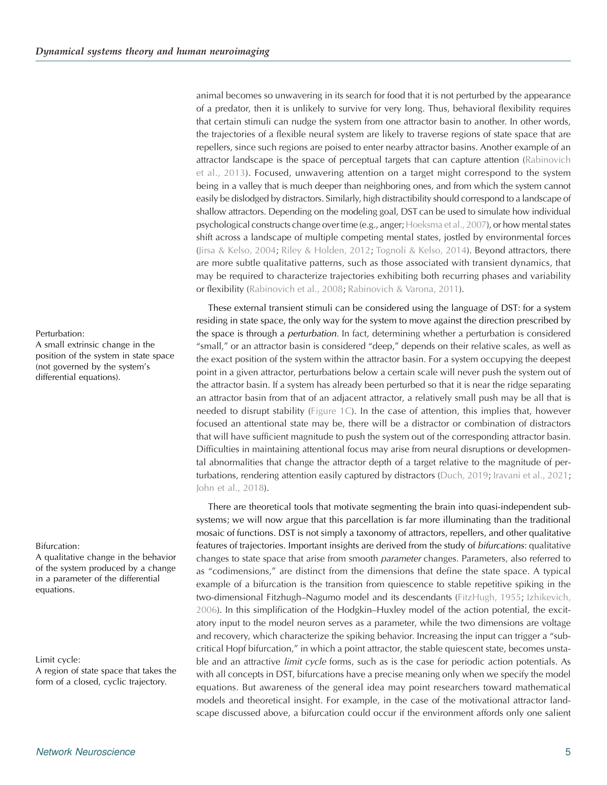Perturbation:

A small extrinsic change in the position of the system in state space (not governed by the system's differential equations).

Bifurcation:

A qualitative change in the behavior of the system produced by a change in a parameter of the differential equations.

Limit cycle:

A region of state space that takes the form of a closed, cyclic trajectory.

animal becomes so unwavering in its search for food that it is not perturbed by the appearance of a predator, then it is unlikely to survive for very long. Thus, behavioral flexibility requires that certain stimuli can nudge the system from one attractor basin to another. In other words, the trajectories of a flexible neural system are likely to traverse regions of state space that are repellers, since such regions are poised to enter nearby attractor basins. Another example of an attractor landscape is the space of perceptual targets that can capture attention ([Rabinovich](#page-17-0) [et al., 2013\)](#page-17-0). Focused, unwavering attention on a target might correspond to the system being in a valley that is much deeper than neighboring ones, and from which the system cannot easily be dislodged by distractors. Similarly, high distractibility should correspond to a landscape of shallow attractors. Depending on the modeling goal, DST can be used to simulate how individual psychological constructs change over time (e.g., anger; [Hoeksma et al., 2007\)](#page-15-0), or how mental states shift across a landscape of multiple competing mental states, jostled by environmental forces ([Jirsa & Kelso, 2004](#page-16-0); [Riley & Holden, 2012;](#page-17-0) [Tognoli & Kelso, 2014\)](#page-18-0). Beyond attractors, there are more subtle qualitative patterns, such as those associated with transient dynamics, that may be required to characterize trajectories exhibiting both recurring phases and variability or flexibility [\(Rabinovich et al., 2008;](#page-17-0) [Rabinovich & Varona, 2011](#page-17-0)).

These external transient stimuli can be considered using the language of DST: for a system residing in state space, the only way for the system to move against the direction prescribed by the space is through a *perturbation*. In fact, determining whether a perturbation is considered "small," or an attractor basin is considered "deep," depends on their relative scales, as well as the exact position of the system within the attractor basin. For a system occupying the deepest point in a given attractor, perturbations below a certain scale will never push the system out of the attractor basin. If a system has already been perturbed so that it is near the ridge separating an attractor basin from that of an adjacent attractor, a relatively small push may be all that is needed to disrupt stability ([Figure 1C\)](#page-3-0). In the case of attention, this implies that, however focused an attentional state may be, there will be a distractor or combination of distractors that will have sufficient magnitude to push the system out of the corresponding attractor basin. Difficulties in maintaining attentional focus may arise from neural disruptions or developmental abnormalities that change the attractor depth of a target relative to the magnitude of perturbations, rendering attention easily captured by distractors [\(Duch, 2019;](#page-14-0) [Iravani et al., 2021](#page-16-0); [John et al., 2018](#page-16-0)).

There are theoretical tools that motivate segmenting the brain into quasi-independent subsystems; we will now argue that this parcellation is far more illuminating than the traditional mosaic of functions. DST is not simply a taxonomy of attractors, repellers, and other qualitative features of trajectories. Important insights are derived from the study of bifurcations: qualitative changes to state space that arise from smooth *parameter* changes. Parameters, also referred to as "codimensions," are distinct from the dimensions that define the state space. A typical example of a bifurcation is the transition from quiescence to stable repetitive spiking in the two-dimensional Fitzhugh–Nagumo model and its descendants ([FitzHugh, 1955;](#page-15-0) [Izhikevich,](#page-16-0) [2006\)](#page-16-0). In this simplification of the Hodgkin–Huxley model of the action potential, the excitatory input to the model neuron serves as a parameter, while the two dimensions are voltage and recovery, which characterize the spiking behavior. Increasing the input can trigger a "subcritical Hopf bifurcation," in which a point attractor, the stable quiescent state, becomes unstable and an attractive *limit cycle* forms, such as is the case for periodic action potentials. As with all concepts in DST, bifurcations have a precise meaning only when we specify the model equations. But awareness of the general idea may point researchers toward mathematical models and theoretical insight. For example, in the case of the motivational attractor landscape discussed above, a bifurcation could occur if the environment affords only one salient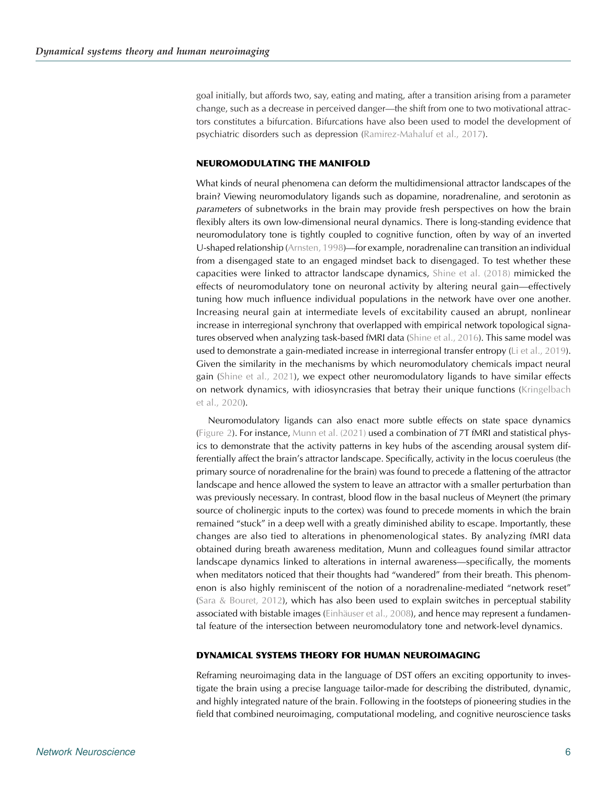goal initially, but affords two, say, eating and mating, after a transition arising from a parameter change, such as a decrease in perceived danger—the shift from one to two motivational attractors constitutes a bifurcation. Bifurcations have also been used to model the development of psychiatric disorders such as depression [\(Ramirez-Mahaluf et al., 2017](#page-17-0)).

# NEUROMODULATING THE MANIFOLD

What kinds of neural phenomena can deform the multidimensional attractor landscapes of the brain? Viewing neuromodulatory ligands such as dopamine, noradrenaline, and serotonin as parameters of subnetworks in the brain may provide fresh perspectives on how the brain flexibly alters its own low-dimensional neural dynamics. There is long-standing evidence that neuromodulatory tone is tightly coupled to cognitive function, often by way of an inverted U-shaped relationship ([Arnsten, 1998\)](#page-13-0)—for example, noradrenaline can transition an individual from a disengaged state to an engaged mindset back to disengaged. To test whether these capacities were linked to attractor landscape dynamics, [Shine et al. \(2018\)](#page-18-0) mimicked the effects of neuromodulatory tone on neuronal activity by altering neural gain—effectively tuning how much influence individual populations in the network have over one another. Increasing neural gain at intermediate levels of excitability caused an abrupt, nonlinear increase in interregional synchrony that overlapped with empirical network topological signa-tures observed when analyzing task-based fMRI data ([Shine et al., 2016\)](#page-18-0). This same model was used to demonstrate a gain-mediated increase in interregional transfer entropy ([Li et al., 2019\)](#page-16-0). Given the similarity in the mechanisms by which neuromodulatory chemicals impact neural gain ([Shine et al., 2021\)](#page-18-0), we expect other neuromodulatory ligands to have similar effects on network dynamics, with idiosyncrasies that betray their unique functions [\(Kringelbach](#page-16-0) [et al., 2020\)](#page-16-0).

Neuromodulatory ligands can also enact more subtle effects on state space dynamics ([Figure 2](#page-6-0)). For instance, [Munn et al. \(2021\)](#page-17-0) used a combination of 7T fMRI and statistical physics to demonstrate that the activity patterns in key hubs of the ascending arousal system differentially affect the brain's attractor landscape. Specifically, activity in the locus coeruleus (the primary source of noradrenaline for the brain) was found to precede a flattening of the attractor landscape and hence allowed the system to leave an attractor with a smaller perturbation than was previously necessary. In contrast, blood flow in the basal nucleus of Meynert (the primary source of cholinergic inputs to the cortex) was found to precede moments in which the brain remained "stuck" in a deep well with a greatly diminished ability to escape. Importantly, these changes are also tied to alterations in phenomenological states. By analyzing fMRI data obtained during breath awareness meditation, Munn and colleagues found similar attractor landscape dynamics linked to alterations in internal awareness—specifically, the moments when meditators noticed that their thoughts had "wandered" from their breath. This phenomenon is also highly reminiscent of the notion of a noradrenaline-mediated "network reset" ([Sara & Bouret, 2012](#page-18-0)), which has also been used to explain switches in perceptual stability associated with bistable images ([Einhäuser et al., 2008\)](#page-15-0), and hence may represent a fundamental feature of the intersection between neuromodulatory tone and network-level dynamics.

# DYNAMICAL SYSTEMS THEORY FOR HUMAN NEUROIMAGING

Reframing neuroimaging data in the language of DST offers an exciting opportunity to investigate the brain using a precise language tailor-made for describing the distributed, dynamic, and highly integrated nature of the brain. Following in the footsteps of pioneering studies in the field that combined neuroimaging, computational modeling, and cognitive neuroscience tasks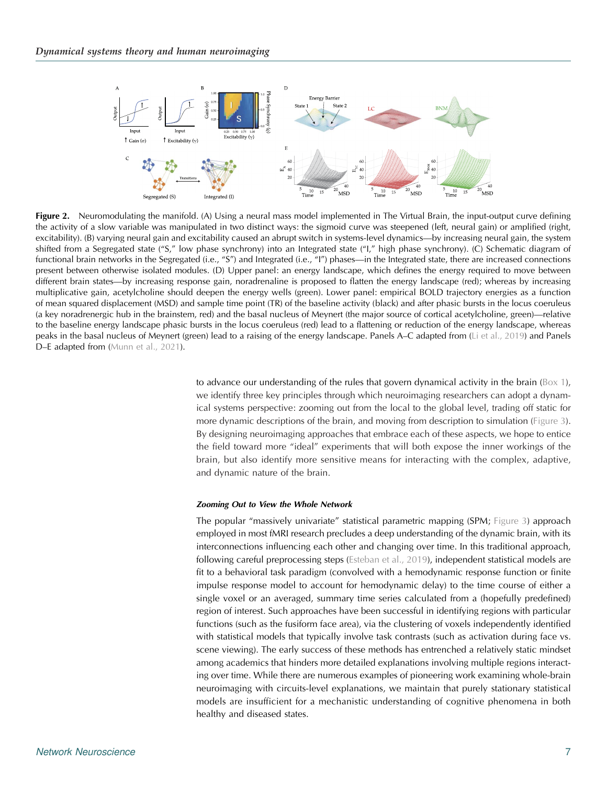<span id="page-6-0"></span>

**Figure 2.** Neuromodulating the manifold. (A) Using a neural mass model implemented in The Virtual Brain, the input-output curve defining the activity of a slow variable was manipulated in two distinct ways: the sigmoid curve was steepened (left, neural gain) or amplified (right, excitability). (B) varying neural gain and excitability caused an abrupt switch in systems-level dynamics—by increasing neural gain, the system shifted from a Segregated state ("S," low phase synchrony) into an Integrated state ("I," high phase synchrony). (C) Schematic diagram of functional brain networks in the Segregated (i.e., "S") and Integrated (i.e., "I") phases—in the Integrated state, there are increased connections present between otherwise isolated modules. (D) Upper panel: an energy landscape, which defines the energy required to move between different brain states—by increasing response gain, noradrenaline is proposed to flatten the energy landscape (red); whereas by increasing multiplicative gain, acetylcholine should deepen the energy wells (green). Lower panel: empirical BOLD trajectory energies as a function of mean squared displacement (MSD) and sample time point (TR) of the baseline activity (black) and after phasic bursts in the locus coeruleus (a key noradrenergic hub in the brainstem, red) and the basal nucleus of Meynert (the major source of cortical acetylcholine, green)—relative to the baseline energy landscape phasic bursts in the locus coeruleus (red) lead to a flattening or reduction of the energy landscape, whereas peaks in the basal nucleus of Meynert (green) lead to a raising of the energy landscape. Panels A–C adapted from ([Li et al., 2019](#page-16-0)) and Panels D–E adapted from ([Munn et al., 2021\)](#page-17-0).

to advance our understanding of the rules that govern dynamical activity in the brain ( $Box 1$ ), we identify three key principles through which neuroimaging researchers can adopt a dynamical systems perspective: zooming out from the local to the global level, trading off static for more dynamic descriptions of the brain, and moving from description to simulation (Figure 3). By designing neuroimaging approaches that embrace each of these aspects, we hope to entice the field toward more "ideal" experiments that will both expose the inner workings of the brain, but also identify more sensitive means for interacting with the complex, adaptive, and dynamic nature of the brain.

# Zooming Out to View the Whole Network

The popular "massively univariate" statistical parametric mapping (SPM; [Figure 3\)](#page-8-0) approach employed in most fMRI research precludes a deep understanding of the dynamic brain, with its interconnections influencing each other and changing over time. In this traditional approach, following careful preprocessing steps [\(Esteban et al., 2019](#page-15-0)), independent statistical models are fit to a behavioral task paradigm (convolved with a hemodynamic response function or finite impulse response model to account for hemodynamic delay) to the time course of either a single voxel or an averaged, summary time series calculated from a (hopefully predefined) region of interest. Such approaches have been successful in identifying regions with particular functions (such as the fusiform face area), via the clustering of voxels independently identified with statistical models that typically involve task contrasts (such as activation during face vs. scene viewing). The early success of these methods has entrenched a relatively static mindset among academics that hinders more detailed explanations involving multiple regions interacting over time. While there are numerous examples of pioneering work examining whole-brain neuroimaging with circuits-level explanations, we maintain that purely stationary statistical models are insufficient for a mechanistic understanding of cognitive phenomena in both healthy and diseased states.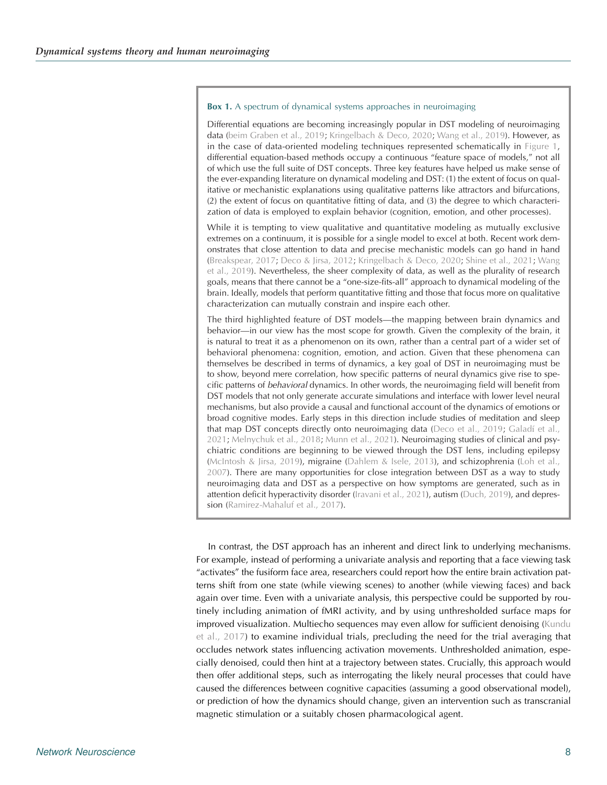#### **Box 1.** A spectrum of dynamical systems approaches in neuroimaging

Differential equations are becoming increasingly popular in DST modeling of neuroimaging data [\(beim Graben et al., 2019](#page-13-0); [Kringelbach & Deco, 2020;](#page-16-0) [Wang et al., 2019\)](#page-18-0). However, as in the case of data-oriented modeling techniques represented schematically in [Figure 1,](#page-3-0) differential equation-based methods occupy a continuous "feature space of models," not all of which use the full suite of DST concepts. Three key features have helped us make sense of the ever-expanding literature on dynamical modeling and DST: (1) the extent of focus on qualitative or mechanistic explanations using qualitative patterns like attractors and bifurcations, (2) the extent of focus on quantitative fitting of data, and (3) the degree to which characterization of data is employed to explain behavior (cognition, emotion, and other processes).

While it is tempting to view qualitative and quantitative modeling as mutually exclusive extremes on a continuum, it is possible for a single model to excel at both. Recent work demonstrates that close attention to data and precise mechanistic models can go hand in hand [\(Breakspear, 2017](#page-14-0); [Deco & Jirsa, 2012](#page-14-0); [Kringelbach & Deco, 2020;](#page-16-0) [Shine et al., 2021;](#page-18-0) [Wang](#page-18-0) [et al., 2019\)](#page-18-0). Nevertheless, the sheer complexity of data, as well as the plurality of research goals, means that there cannot be a "one-size-fits-all" approach to dynamical modeling of the brain. Ideally, models that perform quantitative fitting and those that focus more on qualitative characterization can mutually constrain and inspire each other.

The third highlighted feature of DST models—the mapping between brain dynamics and behavior—in our view has the most scope for growth. Given the complexity of the brain, it is natural to treat it as a phenomenon on its own, rather than a central part of a wider set of behavioral phenomena: cognition, emotion, and action. Given that these phenomena can themselves be described in terms of dynamics, a key goal of DST in neuroimaging must be to show, beyond mere correlation, how specific patterns of neural dynamics give rise to specific patterns of behavioral dynamics. In other words, the neuroimaging field will benefit from DST models that not only generate accurate simulations and interface with lower level neural mechanisms, but also provide a causal and functional account of the dynamics of emotions or broad cognitive modes. Early steps in this direction include studies of meditation and sleep that map DST concepts directly onto neuroimaging data [\(Deco et al., 2019](#page-14-0); [Galadí et al.,](#page-15-0) [2021;](#page-15-0) [Melnychuk et al., 2018](#page-16-0); [Munn et al., 2021\)](#page-17-0). Neuroimaging studies of clinical and psychiatric conditions are beginning to be viewed through the DST lens, including epilepsy [\(McIntosh & Jirsa, 2019\)](#page-16-0), migraine ([Dahlem & Isele, 2013](#page-14-0)), and schizophrenia ([Loh et al.,](#page-16-0) [2007](#page-16-0)). There are many opportunities for close integration between DST as a way to study neuroimaging data and DST as a perspective on how symptoms are generated, such as in attention deficit hyperactivity disorder [\(Iravani et al., 2021](#page-16-0)), autism [\(Duch, 2019\)](#page-14-0), and depres-sion [\(Ramirez-Mahaluf et al., 2017\)](#page-17-0).

In contrast, the DST approach has an inherent and direct link to underlying mechanisms. For example, instead of performing a univariate analysis and reporting that a face viewing task "activates" the fusiform face area, researchers could report how the entire brain activation patterns shift from one state (while viewing scenes) to another (while viewing faces) and back again over time. Even with a univariate analysis, this perspective could be supported by routinely including animation of fMRI activity, and by using unthresholded surface maps for improved visualization. Multiecho sequences may even allow for sufficient denoising [\(Kundu](#page-16-0) [et al., 2017](#page-16-0)) to examine individual trials, precluding the need for the trial averaging that occludes network states influencing activation movements. Unthresholded animation, especially denoised, could then hint at a trajectory between states. Crucially, this approach would then offer additional steps, such as interrogating the likely neural processes that could have caused the differences between cognitive capacities (assuming a good observational model), or prediction of how the dynamics should change, given an intervention such as transcranial magnetic stimulation or a suitably chosen pharmacological agent.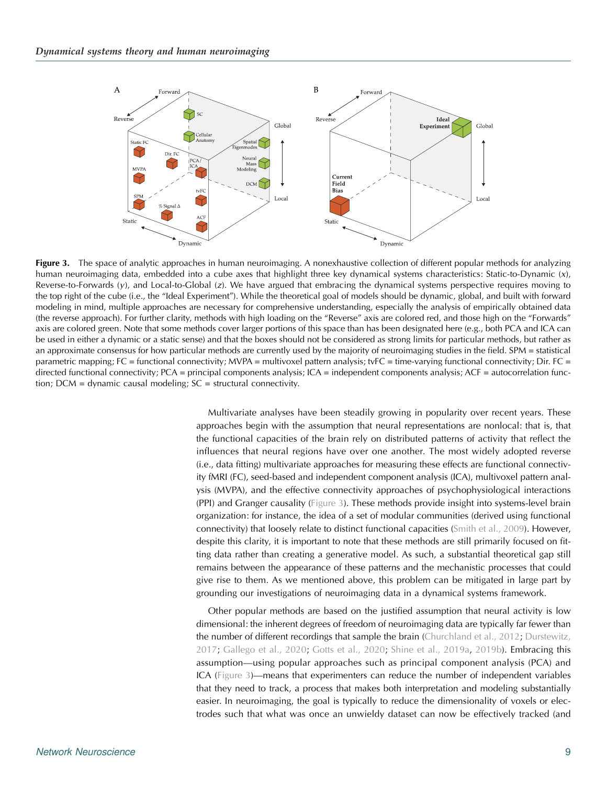<span id="page-8-0"></span>

Figure 3. The space of analytic approaches in human neuroimaging. A nonexhaustive collection of different popular methods for analyzing human neuroimaging data, embedded into a cube axes that highlight three key dynamical systems characteristics: Static-to-Dynamic (x), Reverse-to-Forwards (y), and Local-to-Global  $(z)$ . We have argued that embracing the dynamical systems perspective requires moving to the top right of the cube (i.e., the "Ideal Experiment"). While the theoretical goal of models should be dynamic, global, and built with forward modeling in mind, multiple approaches are necessary for comprehensive understanding, especially the analysis of empirically obtained data (the reverse approach). For further clarity, methods with high loading on the "Reverse" axis are colored red, and those high on the "Forwards" axis are colored green. Note that some methods cover larger portions of this space than has been designated here (e.g., both PCA and ICA can be used in either a dynamic or a static sense) and that the boxes should not be considered as strong limits for particular methods, but rather as an approximate consensus for how particular methods are currently used by the majority of neuroimaging studies in the field. SPM = statistical parametric mapping; FC = functional connectivity; MVPA = multivoxel pattern analysis; tvFC = time-varying functional connectivity; Dir. FC = directed functional connectivity; PCA = principal components analysis; ICA = independent components analysis; ACF = autocorrelation function; DCM = dynamic causal modeling; SC = structural connectivity.

Multivariate analyses have been steadily growing in popularity over recent years. These approaches begin with the assumption that neural representations are nonlocal: that is, that the functional capacities of the brain rely on distributed patterns of activity that reflect the influences that neural regions have over one another. The most widely adopted reverse (i.e., data fitting) multivariate approaches for measuring these effects are functional connectivity fMRI (FC), seed-based and independent component analysis (ICA), multivoxel pattern analysis (MVPA), and the effective connectivity approaches of psychophysiological interactions (PPI) and Granger causality (Figure 3). These methods provide insight into systems-level brain organization: for instance, the idea of a set of modular communities (derived using functional connectivity) that loosely relate to distinct functional capacities ([Smith et al., 2009\)](#page-18-0). However, despite this clarity, it is important to note that these methods are still primarily focused on fitting data rather than creating a generative model. As such, a substantial theoretical gap still remains between the appearance of these patterns and the mechanistic processes that could give rise to them. As we mentioned above, this problem can be mitigated in large part by grounding our investigations of neuroimaging data in a dynamical systems framework.

Other popular methods are based on the justified assumption that neural activity is low dimensional: the inherent degrees of freedom of neuroimaging data are typically far fewer than the number of different recordings that sample the brain [\(Churchland et al., 2012;](#page-14-0) [Durstewitz,](#page-14-0) [2017](#page-14-0); [Gallego et al., 2020](#page-15-0); [Gotts et al., 2020](#page-15-0); [Shine et al., 2019a,](#page-18-0) [2019b](#page-18-0)). Embracing this assumption—using popular approaches such as principal component analysis (PCA) and ICA (Figure 3)—means that experimenters can reduce the number of independent variables that they need to track, a process that makes both interpretation and modeling substantially easier. In neuroimaging, the goal is typically to reduce the dimensionality of voxels or electrodes such that what was once an unwieldy dataset can now be effectively tracked (and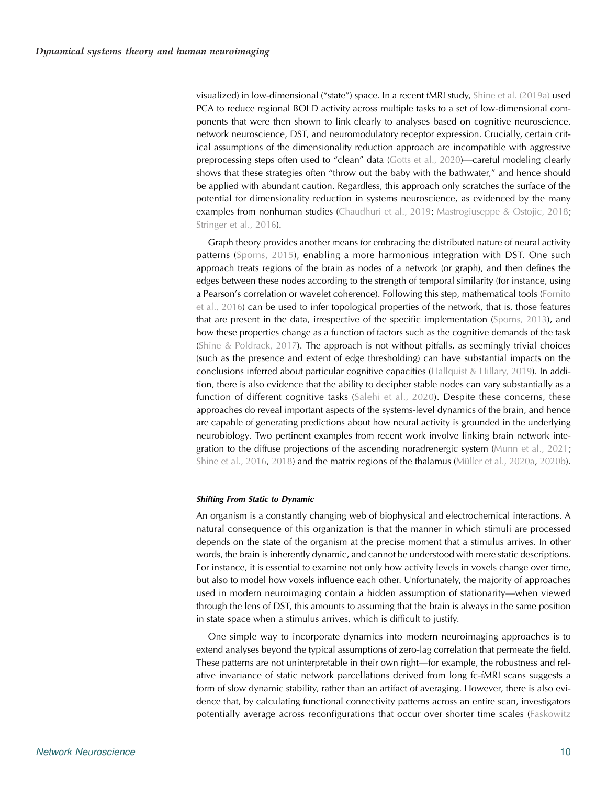visualized) in low-dimensional ("state") space. In a recent fMRI study, [Shine et al. \(2019a\)](#page-18-0) used PCA to reduce regional BOLD activity across multiple tasks to a set of low-dimensional components that were then shown to link clearly to analyses based on cognitive neuroscience, network neuroscience, DST, and neuromodulatory receptor expression. Crucially, certain critical assumptions of the dimensionality reduction approach are incompatible with aggressive preprocessing steps often used to "clean" data [\(Gotts et al., 2020\)](#page-15-0)—careful modeling clearly shows that these strategies often "throw out the baby with the bathwater," and hence should be applied with abundant caution. Regardless, this approach only scratches the surface of the potential for dimensionality reduction in systems neuroscience, as evidenced by the many examples from nonhuman studies ([Chaudhuri et al., 2019;](#page-14-0) [Mastrogiuseppe & Ostojic, 2018](#page-16-0); [Stringer et al., 2016\)](#page-18-0).

Graph theory provides another means for embracing the distributed nature of neural activity patterns ([Sporns, 2015\)](#page-18-0), enabling a more harmonious integration with DST. One such approach treats regions of the brain as nodes of a network (or graph), and then defines the edges between these nodes according to the strength of temporal similarity (for instance, using a Pearson's correlation or wavelet coherence). Following this step, mathematical tools [\(Fornito](#page-15-0) [et al., 2016\)](#page-15-0) can be used to infer topological properties of the network, that is, those features that are present in the data, irrespective of the specific implementation ([Sporns, 2013](#page-18-0)), and how these properties change as a function of factors such as the cognitive demands of the task ([Shine & Poldrack, 2017\)](#page-18-0). The approach is not without pitfalls, as seemingly trivial choices (such as the presence and extent of edge thresholding) can have substantial impacts on the conclusions inferred about particular cognitive capacities ([Hallquist & Hillary, 2019\)](#page-15-0). In addition, there is also evidence that the ability to decipher stable nodes can vary substantially as a function of different cognitive tasks ([Salehi et al., 2020\)](#page-17-0). Despite these concerns, these approaches do reveal important aspects of the systems-level dynamics of the brain, and hence are capable of generating predictions about how neural activity is grounded in the underlying neurobiology. Two pertinent examples from recent work involve linking brain network integration to the diffuse projections of the ascending noradrenergic system ([Munn et al., 2021](#page-17-0); [Shine et al., 2016,](#page-18-0) [2018](#page-18-0)) and the matrix regions of the thalamus [\(Müller et al., 2020a,](#page-17-0) [2020b\)](#page-17-0).

## Shifting From Static to Dynamic

An organism is a constantly changing web of biophysical and electrochemical interactions. A natural consequence of this organization is that the manner in which stimuli are processed depends on the state of the organism at the precise moment that a stimulus arrives. In other words, the brain is inherently dynamic, and cannot be understood with mere static descriptions. For instance, it is essential to examine not only how activity levels in voxels change over time, but also to model how voxels influence each other. Unfortunately, the majority of approaches used in modern neuroimaging contain a hidden assumption of stationarity—when viewed through the lens of DST, this amounts to assuming that the brain is always in the same position in state space when a stimulus arrives, which is difficult to justify.

One simple way to incorporate dynamics into modern neuroimaging approaches is to extend analyses beyond the typical assumptions of zero-lag correlation that permeate the field. These patterns are not uninterpretable in their own right—for example, the robustness and relative invariance of static network parcellations derived from long fc-fMRI scans suggests a form of slow dynamic stability, rather than an artifact of averaging. However, there is also evidence that, by calculating functional connectivity patterns across an entire scan, investigators potentially average across reconfigurations that occur over shorter time scales ([Faskowitz](#page-15-0)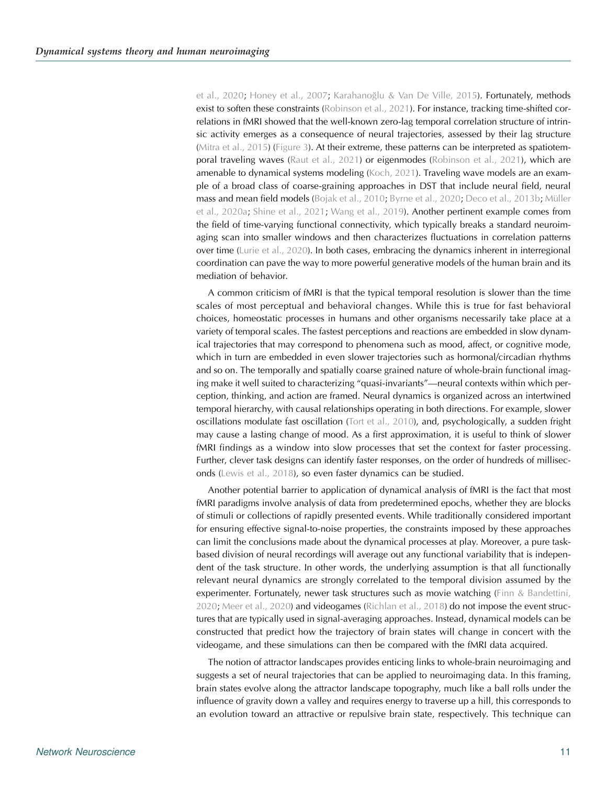[et al., 2020;](#page-15-0) [Honey et al., 2007;](#page-16-0) Karahanoğ[lu & Van De Ville, 2015\)](#page-16-0). Fortunately, methods exist to soften these constraints [\(Robinson et al., 2021\)](#page-17-0). For instance, tracking time-shifted correlations in fMRI showed that the well-known zero-lag temporal correlation structure of intrinsic activity emerges as a consequence of neural trajectories, assessed by their lag structure ([Mitra et al., 2015](#page-16-0)) [\(Figure 3](#page-8-0)). At their extreme, these patterns can be interpreted as spatiotemporal traveling waves ([Raut et al., 2021\)](#page-17-0) or eigenmodes ([Robinson et al., 2021\)](#page-17-0), which are amenable to dynamical systems modeling [\(Koch, 2021\)](#page-16-0). Traveling wave models are an example of a broad class of coarse-graining approaches in DST that include neural field, neural mass and mean field models [\(Bojak et al., 2010](#page-14-0); [Byrne et al., 2020;](#page-14-0) [Deco et al., 2013b;](#page-14-0) [Müller](#page-17-0) [et al., 2020a;](#page-17-0) [Shine et al., 2021](#page-18-0); [Wang et al., 2019](#page-18-0)). Another pertinent example comes from the field of time-varying functional connectivity, which typically breaks a standard neuroimaging scan into smaller windows and then characterizes fluctuations in correlation patterns over time [\(Lurie et al., 2020](#page-16-0)). In both cases, embracing the dynamics inherent in interregional coordination can pave the way to more powerful generative models of the human brain and its mediation of behavior.

A common criticism of fMRI is that the typical temporal resolution is slower than the time scales of most perceptual and behavioral changes. While this is true for fast behavioral choices, homeostatic processes in humans and other organisms necessarily take place at a variety of temporal scales. The fastest perceptions and reactions are embedded in slow dynamical trajectories that may correspond to phenomena such as mood, affect, or cognitive mode, which in turn are embedded in even slower trajectories such as hormonal/circadian rhythms and so on. The temporally and spatially coarse grained nature of whole-brain functional imaging make it well suited to characterizing "quasi-invariants"—neural contexts within which perception, thinking, and action are framed. Neural dynamics is organized across an intertwined temporal hierarchy, with causal relationships operating in both directions. For example, slower oscillations modulate fast oscillation ([Tort et al., 2010](#page-18-0)), and, psychologically, a sudden fright may cause a lasting change of mood. As a first approximation, it is useful to think of slower fMRI findings as a window into slow processes that set the context for faster processing. Further, clever task designs can identify faster responses, on the order of hundreds of milliseconds [\(Lewis et al., 2018](#page-16-0)), so even faster dynamics can be studied.

Another potential barrier to application of dynamical analysis of fMRI is the fact that most fMRI paradigms involve analysis of data from predetermined epochs, whether they are blocks of stimuli or collections of rapidly presented events. While traditionally considered important for ensuring effective signal-to-noise properties, the constraints imposed by these approaches can limit the conclusions made about the dynamical processes at play. Moreover, a pure taskbased division of neural recordings will average out any functional variability that is independent of the task structure. In other words, the underlying assumption is that all functionally relevant neural dynamics are strongly correlated to the temporal division assumed by the experimenter. Fortunately, newer task structures such as movie watching [\(Finn & Bandettini,](#page-15-0) [2020;](#page-15-0) [Meer et al., 2020](#page-16-0)) and videogames [\(Richlan et al., 2018\)](#page-17-0) do not impose the event structures that are typically used in signal-averaging approaches. Instead, dynamical models can be constructed that predict how the trajectory of brain states will change in concert with the videogame, and these simulations can then be compared with the fMRI data acquired.

The notion of attractor landscapes provides enticing links to whole-brain neuroimaging and suggests a set of neural trajectories that can be applied to neuroimaging data. In this framing, brain states evolve along the attractor landscape topography, much like a ball rolls under the influence of gravity down a valley and requires energy to traverse up a hill, this corresponds to an evolution toward an attractive or repulsive brain state, respectively. This technique can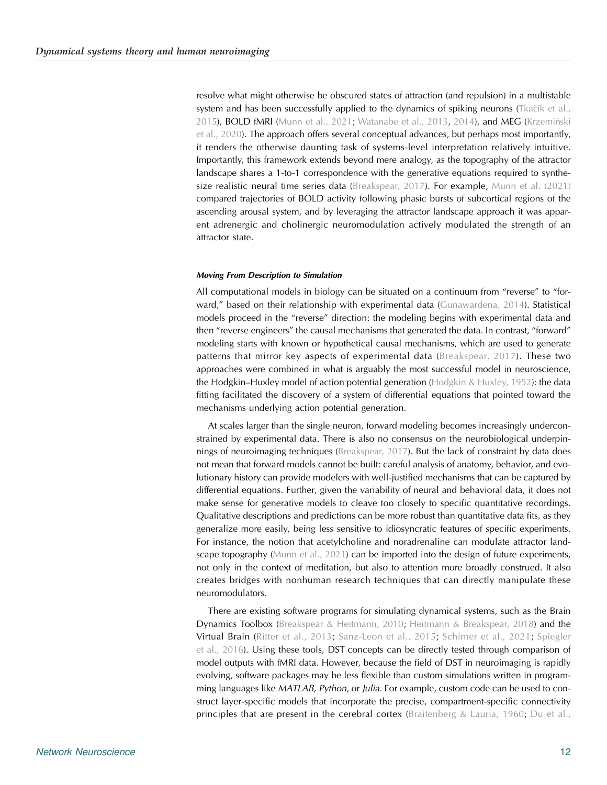resolve what might otherwise be obscured states of attraction (and repulsion) in a multistable system and has been successfully applied to the dynamics of spiking neurons (Tkač[ik et al.,](#page-18-0) [2015\)](#page-18-0), BOLD fMRI ([Munn et al., 2021](#page-17-0); [Watanabe et al., 2013](#page-18-0), [2014\)](#page-19-0), and MEG ([Krzemi](#page-16-0)ński [et al., 2020\)](#page-16-0). The approach offers several conceptual advances, but perhaps most importantly, it renders the otherwise daunting task of systems-level interpretation relatively intuitive. Importantly, this framework extends beyond mere analogy, as the topography of the attractor landscape shares a 1-to-1 correspondence with the generative equations required to synthe-size realistic neural time series data ([Breakspear, 2017\)](#page-14-0). For example, [Munn et al. \(2021\)](#page-17-0) compared trajectories of BOLD activity following phasic bursts of subcortical regions of the ascending arousal system, and by leveraging the attractor landscape approach it was apparent adrenergic and cholinergic neuromodulation actively modulated the strength of an attractor state.

# $\delta$

All computational models in biology can be situated on a continuum from "reverse" to "for-ward," based on their relationship with experimental data [\(Gunawardena, 2014](#page-15-0)). Statistical models proceed in the "reverse" direction: the modeling begins with experimental data and then "reverse engineers" the causal mechanisms that generated the data. In contrast, "forward" modeling starts with known or hypothetical causal mechanisms, which are used to generate patterns that mirror key aspects of experimental data ([Breakspear, 2017\)](#page-14-0). These two approaches were combined in what is arguably the most successful model in neuroscience, the Hodgkin–Huxley model of action potential generation [\(Hodgkin & Huxley, 1952](#page-15-0)): the data fitting facilitated the discovery of a system of differential equations that pointed toward the mechanisms underlying action potential generation.

At scales larger than the single neuron, forward modeling becomes increasingly underconstrained by experimental data. There is also no consensus on the neurobiological underpinnings of neuroimaging techniques [\(Breakspear, 2017\)](#page-14-0). But the lack of constraint by data does not mean that forward models cannot be built: careful analysis of anatomy, behavior, and evolutionary history can provide modelers with well-justified mechanisms that can be captured by differential equations. Further, given the variability of neural and behavioral data, it does not make sense for generative models to cleave too closely to specific quantitative recordings. Qualitative descriptions and predictions can be more robust than quantitative data fits, as they generalize more easily, being less sensitive to idiosyncratic features of specific experiments. For instance, the notion that acetylcholine and noradrenaline can modulate attractor land-scape topography [\(Munn et al., 2021](#page-17-0)) can be imported into the design of future experiments, not only in the context of meditation, but also to attention more broadly construed. It also creates bridges with nonhuman research techniques that can directly manipulate these neuromodulators.

There are existing software programs for simulating dynamical systems, such as the Brain Dynamics Toolbox [\(Breakspear & Heitmann, 2010](#page-14-0); [Heitmann & Breakspear, 2018\)](#page-15-0) and the Virtual Brain ([Ritter et al., 2013](#page-17-0); [Sanz-Leon et al., 2015](#page-18-0); [Schirner et al., 2021;](#page-18-0) [Spiegler](#page-18-0) [et al., 2016\)](#page-18-0). Using these tools, DST concepts can be directly tested through comparison of model outputs with fMRI data. However, because the field of DST in neuroimaging is rapidly evolving, software packages may be less flexible than custom simulations written in programming languages like MATLAB, Python, or Julia. For example, custom code can be used to construct layer-specific models that incorporate the precise, compartment-specific connectivity principles that are present in the cerebral cortex [\(Braitenberg & Lauria, 1960;](#page-14-0) [Du et al.,](#page-14-0)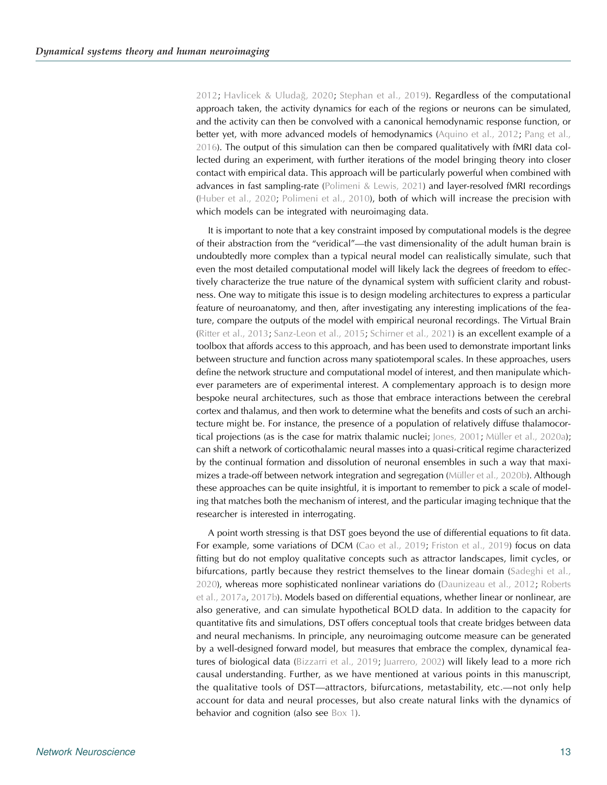[2012;](#page-14-0) [Havlicek & Uluda](#page-15-0)ğ, 2020; [Stephan et al., 2019\)](#page-18-0). Regardless of the computational approach taken, the activity dynamics for each of the regions or neurons can be simulated, and the activity can then be convolved with a canonical hemodynamic response function, or better yet, with more advanced models of hemodynamics [\(Aquino et al., 2012](#page-13-0); [Pang et al.,](#page-17-0) [2016\)](#page-17-0). The output of this simulation can then be compared qualitatively with fMRI data collected during an experiment, with further iterations of the model bringing theory into closer contact with empirical data. This approach will be particularly powerful when combined with advances in fast sampling-rate ([Polimeni & Lewis, 2021\)](#page-17-0) and layer-resolved fMRI recordings ([Huber et al., 2020](#page-16-0); [Polimeni et al., 2010](#page-17-0)), both of which will increase the precision with which models can be integrated with neuroimaging data.

It is important to note that a key constraint imposed by computational models is the degree of their abstraction from the "veridical"—the vast dimensionality of the adult human brain is undoubtedly more complex than a typical neural model can realistically simulate, such that even the most detailed computational model will likely lack the degrees of freedom to effectively characterize the true nature of the dynamical system with sufficient clarity and robustness. One way to mitigate this issue is to design modeling architectures to express a particular feature of neuroanatomy, and then, after investigating any interesting implications of the feature, compare the outputs of the model with empirical neuronal recordings. The Virtual Brain ([Ritter et al., 2013](#page-17-0); [Sanz-Leon et al., 2015](#page-18-0); [Schirner et al., 2021](#page-18-0)) is an excellent example of a toolbox that affords access to this approach, and has been used to demonstrate important links between structure and function across many spatiotemporal scales. In these approaches, users define the network structure and computational model of interest, and then manipulate whichever parameters are of experimental interest. A complementary approach is to design more bespoke neural architectures, such as those that embrace interactions between the cerebral cortex and thalamus, and then work to determine what the benefits and costs of such an architecture might be. For instance, the presence of a population of relatively diffuse thalamocortical projections (as is the case for matrix thalamic nuclei; [Jones, 2001;](#page-16-0) [Müller et al., 2020a\)](#page-17-0); can shift a network of corticothalamic neural masses into a quasi-critical regime characterized by the continual formation and dissolution of neuronal ensembles in such a way that maximizes a trade-off between network integration and segregation ([Müller et al., 2020b](#page-17-0)). Although these approaches can be quite insightful, it is important to remember to pick a scale of modeling that matches both the mechanism of interest, and the particular imaging technique that the researcher is interested in interrogating.

A point worth stressing is that DST goes beyond the use of differential equations to fit data. For example, some variations of DCM [\(Cao et al., 2019;](#page-14-0) [Friston et al., 2019\)](#page-15-0) focus on data fitting but do not employ qualitative concepts such as attractor landscapes, limit cycles, or bifurcations, partly because they restrict themselves to the linear domain [\(Sadeghi et al.,](#page-17-0) [2020\)](#page-17-0), whereas more sophisticated nonlinear variations do ([Daunizeau et al., 2012;](#page-14-0) [Roberts](#page-17-0) [et al., 2017a](#page-17-0), [2017b\)](#page-17-0). Models based on differential equations, whether linear or nonlinear, are also generative, and can simulate hypothetical BOLD data. In addition to the capacity for quantitative fits and simulations, DST offers conceptual tools that create bridges between data and neural mechanisms. In principle, any neuroimaging outcome measure can be generated by a well-designed forward model, but measures that embrace the complex, dynamical features of biological data ([Bizzarri et al., 2019](#page-14-0); [Juarrero, 2002\)](#page-16-0) will likely lead to a more rich causal understanding. Further, as we have mentioned at various points in this manuscript, the qualitative tools of DST—attractors, bifurcations, metastability, etc.—not only help account for data and neural processes, but also create natural links with the dynamics of behavior and cognition (also see Box 1).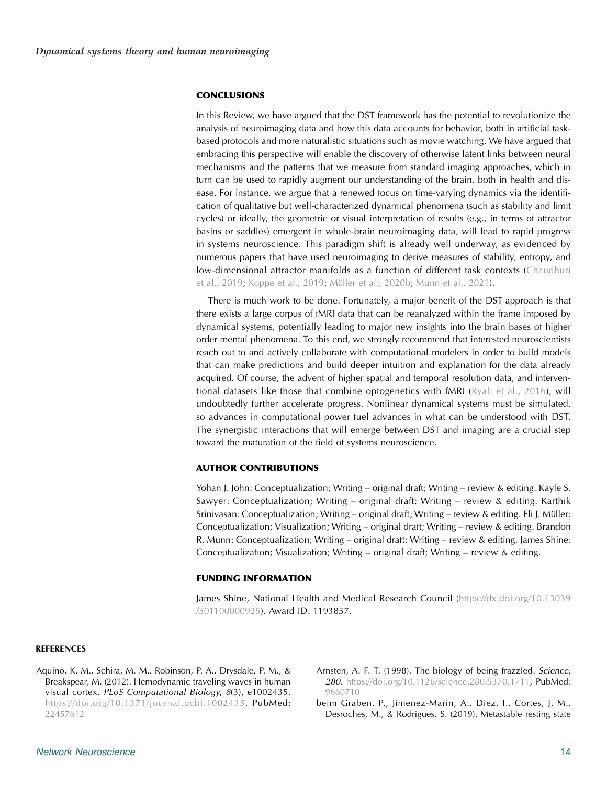# <span id="page-13-0"></span>**CONCLUSIONS**

In this Review, we have argued that the DST framework has the potential to revolutionize the analysis of neuroimaging data and how this data accounts for behavior, both in artificial taskbased protocols and more naturalistic situations such as movie watching. We have argued that embracing this perspective will enable the discovery of otherwise latent links between neural mechanisms and the patterns that we measure from standard imaging approaches, which in turn can be used to rapidly augment our understanding of the brain, both in health and disease. For instance, we argue that a renewed focus on time-varying dynamics via the identification of qualitative but well-characterized dynamical phenomena (such as stability and limit cycles) or ideally, the geometric or visual interpretation of results (e.g., in terms of attractor basins or saddles) emergent in whole-brain neuroimaging data, will lead to rapid progress in systems neuroscience. This paradigm shift is already well underway, as evidenced by numerous papers that have used neuroimaging to derive measures of stability, entropy, and low-dimensional attractor manifolds as a function of different task contexts ([Chaudhuri](#page-14-0) [et al., 2019;](#page-14-0) [Koppe et al., 2019;](#page-16-0) [Müller et al., 2020b](#page-17-0); [Munn et al., 2021\)](#page-17-0).

There is much work to be done. Fortunately, a major benefit of the DST approach is that there exists a large corpus of fMRI data that can be reanalyzed within the frame imposed by dynamical systems, potentially leading to major new insights into the brain bases of higher order mental phenomena. To this end, we strongly recommend that interested neuroscientists reach out to and actively collaborate with computational modelers in order to build models that can make predictions and build deeper intuition and explanation for the data already acquired. Of course, the advent of higher spatial and temporal resolution data, and interventional datasets like those that combine optogenetics with fMRI ([Ryali et al., 2016](#page-17-0)), will undoubtedly further accelerate progress. Nonlinear dynamical systems must be simulated, so advances in computational power fuel advances in what can be understood with DST. The synergistic interactions that will emerge between DST and imaging are a crucial step toward the maturation of the field of systems neuroscience.

# AUTHOR CONTRIBUTIONS

Yohan J. John: Conceptualization; Writing – original draft; Writing – review & editing. Kayle S. Sawyer: Conceptualization; Writing – original draft; Writing – review & editing. Karthik Srinivasan: Conceptualization; Writing – original draft; Writing – review & editing. Eli J. Müller: Conceptualization; Visualization; Writing – original draft; Writing – review & editing. Brandon R. Munn: Conceptualization; Writing – original draft; Writing – review & editing. James Shine: Conceptualization; Visualization; Writing – original draft; Writing – review & editing.

# FUNDING INFORMATION

James Shine, National Health and Medical Research Council ([https://dx.doi.org/10.13039](http://dx.doi.org/10.13039/501100000925) [/501100000925\)](http://dx.doi.org/10.13039/501100000925), Award ID: 1193857.

# REFERENCES

- Aquino, K. M., Schira, M. M., Robinson, P. A., Drysdale, P. M., & Breakspear, M. (2012). Hemodynamic traveling waves in human visual cortex. PLoS Computational Biology, 8(3), e1002435. [https://doi.org/10.1371/journal.pcbi.1002435,](https://doi.org/10.1371/journal.pcbi.1002435) PubMed: [22457612](https://pubmed.ncbi.nlm.nih.gov/22457612)
- Arnsten, A. F. T. (1998). The biology of being frazzled. Science, 280. [https://doi.org/10.1126/science.280.5370.1711,](https://doi.org/10.1126/science.280.5370.1711) PubMed: [9660710](https://pubmed.ncbi.nlm.nih.gov/9660710)
- beim Graben, P., Jimenez-Marin, A., Diez, I., Cortes, J. M., Desroches, M., & Rodrigues, S. (2019). Metastable resting state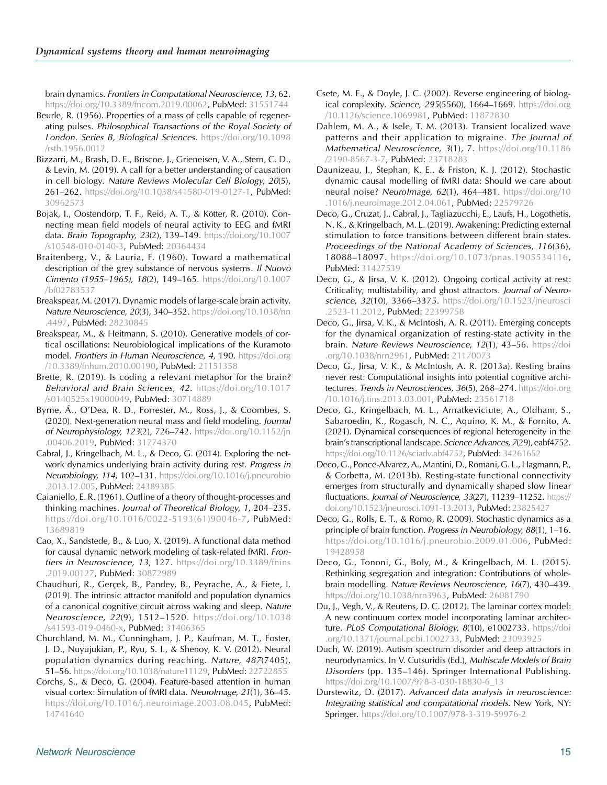<span id="page-14-0"></span>brain dynamics. Frontiers in Computational Neuroscience, 13, 62. <https://doi.org/10.3389/fncom.2019.00062>, PubMed: [31551744](https://pubmed.ncbi.nlm.nih.gov/31551744)

- Beurle, R. (1956). Properties of a mass of cells capable of regenerating pulses. Philosophical Transactions of the Royal Society of London. Series B, Biological Sciences. [https://doi.org/10.1098](https://doi.org/10.1098/rstb.1956.0012) [/rstb.1956.0012](https://doi.org/10.1098/rstb.1956.0012)
- Bizzarri, M., Brash, D. E., Briscoe, J., Grieneisen, V. A., Stern, C. D., & Levin, M. (2019). A call for a better understanding of causation in cell biology. Nature Reviews Molecular Cell Biology, 20(5), 261–262. [https://doi.org/10.1038/s41580-019-0127-1,](https://doi.org/10.1038/s41580-019-0127-1) PubMed: [30962573](https://pubmed.ncbi.nlm.nih.gov/30962573)
- Bojak, I., Oostendorp, T. F., Reid, A. T., & Kötter, R. (2010). Connecting mean field models of neural activity to EEG and fMRI data. Brain Topography, 23(2), 139–149. [https://doi.org/10.1007](https://doi.org/10.1007/s10548-010-0140-3) [/s10548-010-0140-3,](https://doi.org/10.1007/s10548-010-0140-3) PubMed: [20364434](https://pubmed.ncbi.nlm.nih.gov/20364434)
- Braitenberg, V., & Lauria, F. (1960). Toward a mathematical description of the grey substance of nervous systems. Il Nuovo Cimento (1955–1965), 18(2), 149–165. [https://doi.org/10.1007](https://doi.org/10.1007/bf02783537) [/bf02783537](https://doi.org/10.1007/bf02783537)
- Breakspear, M. (2017). Dynamic models of large-scale brain activity. Nature Neuroscience, 20(3), 340–352. [https://doi.org/10.1038/nn](https://doi.org/10.1038/nn.4497) [.4497,](https://doi.org/10.1038/nn.4497) PubMed: [28230845](https://pubmed.ncbi.nlm.nih.gov/28230845)
- Breakspear, M., & Heitmann, S. (2010). Generative models of cortical oscillations: Neurobiological implications of the Kuramoto model. Frontiers in Human Neuroscience, 4, 190. [https://doi.org](https://doi.org/10.3389/fnhum.2010.00190) [/10.3389/fnhum.2010.00190](https://doi.org/10.3389/fnhum.2010.00190), PubMed: [21151358](https://pubmed.ncbi.nlm.nih.gov/21151358)
- Brette, R. (2019). Is coding a relevant metaphor for the brain? Behavioral and Brain Sciences, 42. [https://doi.org/10.1017](https://doi.org/10.1017/s0140525x19000049) [/s0140525x19000049,](https://doi.org/10.1017/s0140525x19000049) PubMed: [30714889](https://pubmed.ncbi.nlm.nih.gov/30714889)
- Byrne, Á., O'Dea, R. D., Forrester, M., Ross, J., & Coombes, S. (2020). Next-generation neural mass and field modeling. Journal of Neurophysiology, 123(2), 726–742. [https://doi.org/10.1152/jn](https://doi.org/10.1152/jn.00406.2019) [.00406.2019](https://doi.org/10.1152/jn.00406.2019), PubMed: [31774370](https://pubmed.ncbi.nlm.nih.gov/31774370)
- Cabral, J., Kringelbach, M. L., & Deco, G. (2014). Exploring the network dynamics underlying brain activity during rest. Progress in Neurobiology, 114, 102–131. [https://doi.org/10.1016/j.pneurobio](https://doi.org/10.1016/j.pneurobio.2013.12.005) [.2013.12.005](https://doi.org/10.1016/j.pneurobio.2013.12.005), PubMed: [24389385](https://pubmed.ncbi.nlm.nih.gov/24389385)
- Caianiello, E. R. (1961). Outline of a theory of thought-processes and thinking machines. Journal of Theoretical Biology, 1, 204–235. [https://doi.org/10.1016/0022-5193\(61\)90046-7](https://doi.org/10.1016/0022-5193(61)90046-7), PubMed: [13689819](https://pubmed.ncbi.nlm.nih.gov/13689819)
- Cao, X., Sandstede, B., & Luo, X. (2019). A functional data method for causal dynamic network modeling of task-related fMRI. Frontiers in Neuroscience, 13, 127. [https://doi.org/10.3389/fnins](https://doi.org/10.3389/fnins.2019.00127) [.2019.00127](https://doi.org/10.3389/fnins.2019.00127), PubMed: [30872989](https://pubmed.ncbi.nlm.nih.gov/30872989)
- Chaudhuri, R., Gerçek, B., Pandey, B., Peyrache, A., & Fiete, I. (2019). The intrinsic attractor manifold and population dynamics of a canonical cognitive circuit across waking and sleep. Nature Neuroscience, 22(9), 1512–1520. [https://doi.org/10.1038](https://doi.org/10.1038/s41593-019-0460-x) [/s41593-019-0460-x](https://doi.org/10.1038/s41593-019-0460-x), PubMed: [31406365](https://pubmed.ncbi.nlm.nih.gov/31406365)
- Churchland, M. M., Cunningham, J. P., Kaufman, M. T., Foster, J. D., Nuyujukian, P., Ryu, S. I., & Shenoy, K. V. (2012). Neural population dynamics during reaching. Nature, 487(7405), 51–56. [https://doi.org/10.1038/nature11129,](https://doi.org/10.1038/nature11129) PubMed: [22722855](https://pubmed.ncbi.nlm.nih.gov/22722855)
- Corchs, S., & Deco, G. (2004). Feature-based attention in human visual cortex: Simulation of fMRI data. NeuroImage, 21(1), 36–45. <https://doi.org/10.1016/j.neuroimage.2003.08.045>, PubMed: [14741640](https://pubmed.ncbi.nlm.nih.gov/14741640)
- Csete, M. E., & Doyle, J. C. (2002). Reverse engineering of biological complexity. Science, 295(5560), 1664-1669. [https://doi.org](https://doi.org/10.1126/science.1069981) [/10.1126/science.1069981](https://doi.org/10.1126/science.1069981), PubMed: [11872830](https://pubmed.ncbi.nlm.nih.gov/11872830)
- Dahlem, M. A., & Isele, T. M. (2013). Transient localized wave patterns and their application to migraine. The Journal of Mathematical Neuroscience, 3(1), 7. [https://doi.org/10.1186](https://doi.org/10.1186/2190-8567-3-7) [/2190-8567-3-7](https://doi.org/10.1186/2190-8567-3-7), PubMed: [23718283](https://pubmed.ncbi.nlm.nih.gov/23718283)
- Daunizeau, J., Stephan, K. E., & Friston, K. J. (2012). Stochastic dynamic causal modelling of fMRI data: Should we care about neural noise? NeuroImage, 62(1), 464-481. [https://doi.org/10](https://doi.org/10.1016/j.neuroimage.2012.04.061) [.1016/j.neuroimage.2012.04.061,](https://doi.org/10.1016/j.neuroimage.2012.04.061) PubMed: [22579726](https://pubmed.ncbi.nlm.nih.gov/22579726)
- Deco, G., Cruzat, J., Cabral, J., Tagliazucchi, E., Laufs, H., Logothetis, N. K., & Kringelbach, M. L. (2019). Awakening: Predicting external stimulation to force transitions between different brain states. Proceedings of the National Academy of Sciences, 116(36), 18088–18097. [https://doi.org/10.1073/pnas.1905534116,](https://doi.org/10.1073/pnas.1905534116) PubMed: [31427539](https://pubmed.ncbi.nlm.nih.gov/31427539)
- Deco, G., & Jirsa, V. K. (2012). Ongoing cortical activity at rest: Criticality, multistability, and ghost attractors. Journal of Neuroscience, 32(10), 3366-3375. [https://doi.org/10.1523/jneurosci](https://doi.org/10.1523/jneurosci.2523-11.2012) [.2523-11.2012](https://doi.org/10.1523/jneurosci.2523-11.2012), PubMed: [22399758](https://pubmed.ncbi.nlm.nih.gov/22399758)
- Deco, G., Jirsa, V. K., & McIntosh, A. R. (2011). Emerging concepts for the dynamical organization of resting-state activity in the brain. Nature Reviews Neuroscience, 12(1), 43–56. [https://doi](https://doi.org/10.1038/nrn2961) [.org/10.1038/nrn2961,](https://doi.org/10.1038/nrn2961) PubMed: [21170073](https://pubmed.ncbi.nlm.nih.gov/21170073)
- Deco, G., Jirsa, V. K., & McIntosh, A. R. (2013a). Resting brains never rest: Computational insights into potential cognitive architectures. Trends in Neurosciences, 36(5), 268-274. [https://doi.org](https://doi.org/10.1016/j.tins.2013.03.001) [/10.1016/j.tins.2013.03.001,](https://doi.org/10.1016/j.tins.2013.03.001) PubMed: [23561718](https://pubmed.ncbi.nlm.nih.gov/23561718)
- Deco, G., Kringelbach, M. L., Arnatkeviciute, A., Oldham, S., Sabaroedin, K., Rogasch, N. C., Aquino, K. M., & Fornito, A. (2021). Dynamical consequences of regional heterogeneity in the brain's transcriptional landscape. Science Advances, 7(29), eabf4752. <https://doi.org/10.1126/sciadv.abf4752>, PubMed: [34261652](https://pubmed.ncbi.nlm.nih.gov/34261652)
- Deco, G., Ponce-Alvarez, A., Mantini, D., Romani, G. L., Hagmann, P., & Corbetta, M. (2013b). Resting-state functional connectivity emerges from structurally and dynamically shaped slow linear fluctuations. Journal of Neuroscience, 33(27), 11239-11252. [https://](https://doi.org/10.1523/jneurosci.1091-13.2013) [doi.org/10.1523/jneurosci.1091-13.2013,](https://doi.org/10.1523/jneurosci.1091-13.2013) PubMed: [23825427](https://pubmed.ncbi.nlm.nih.gov/23825427)
- Deco, G., Rolls, E. T., & Romo, R. (2009). Stochastic dynamics as a principle of brain function. Progress in Neurobiology, 88(1), 1–16. [https://doi.org/10.1016/j.pneurobio.2009.01.006,](https://doi.org/10.1016/j.pneurobio.2009.01.006) PubMed: [19428958](https://pubmed.ncbi.nlm.nih.gov/19428958)
- Deco, G., Tononi, G., Boly, M., & Kringelbach, M. L. (2015). Rethinking segregation and integration: Contributions of wholebrain modelling. Nature Reviews Neuroscience, 16(7), 430–439. [https://doi.org/10.1038/nrn3963,](https://doi.org/10.1038/nrn3963) PubMed: [26081790](https://pubmed.ncbi.nlm.nih.gov/26081790)
- Du, J., Vegh, V., & Reutens, D. C. (2012). The laminar cortex model: A new continuum cortex model incorporating laminar architecture. PLoS Computational Biology, 8(10), e1002733. [https://doi](https://doi.org/10.1371/journal.pcbi.1002733) [.org/10.1371/journal.pcbi.1002733,](https://doi.org/10.1371/journal.pcbi.1002733) PubMed: [23093925](https://pubmed.ncbi.nlm.nih.gov/23093925)
- Duch, W. (2019). Autism spectrum disorder and deep attractors in neurodynamics. In V. Cutsuridis (Ed.), Multiscale Models of Brain Disorders (pp. 135–146). Springer International Publishing. [https://doi.org/10.1007/978-3-030-18830-6\\_13](https://doi.org/10.1007/978-3-030-18830-6_13)
- Durstewitz, D. (2017). Advanced data analysis in neuroscience: Integrating statistical and computational models. New York, NY: Springer. <https://doi.org/10.1007/978-3-319-59976-2>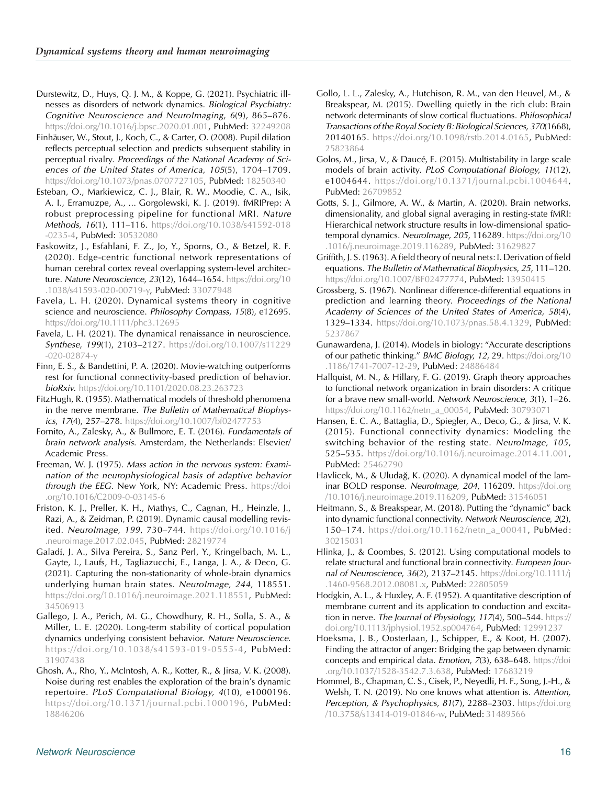<span id="page-15-0"></span>Durstewitz, D., Huys, Q. J. M., & Koppe, G. (2021). Psychiatric illnesses as disorders of network dynamics. Biological Psychiatry: Cognitive Neuroscience and NeuroImaging, 6(9), 865–876. <https://doi.org/10.1016/j.bpsc.2020.01.001>, PubMed: [32249208](https://pubmed.ncbi.nlm.nih.gov/32249208)

- Einhäuser, W., Stout, J., Koch, C., & Carter, O. (2008). Pupil dilation reflects perceptual selection and predicts subsequent stability in perceptual rivalry. Proceedings of the National Academy of Sciences of the United States of America, 105(5), 1704–1709. <https://doi.org/10.1073/pnas.0707727105>, PubMed: [18250340](https://pubmed.ncbi.nlm.nih.gov/18250340)
- Esteban, O., Markiewicz, C. J., Blair, R. W., Moodie, C. A., Isik, A. I., Erramuzpe, A., … Gorgolewski, K. J. (2019). fMRIPrep: A robust preprocessing pipeline for functional MRI. Nature Methods, 16(1), 111–116. [https://doi.org/10.1038/s41592-018](https://doi.org/10.1038/s41592-018-0235-4) [-0235-4](https://doi.org/10.1038/s41592-018-0235-4), PubMed: [30532080](https://pubmed.ncbi.nlm.nih.gov/30532080)
- Faskowitz, J., Esfahlani, F. Z., Jo, Y., Sporns, O., & Betzel, R. F. (2020). Edge-centric functional network representations of human cerebral cortex reveal overlapping system-level architecture. Nature Neuroscience, 23(12), 1644–1654. [https://doi.org/10](https://doi.org/10.1038/s41593-020-00719-y) [.1038/s41593-020-00719-y,](https://doi.org/10.1038/s41593-020-00719-y) PubMed: [33077948](https://pubmed.ncbi.nlm.nih.gov/33077948)
- Favela, L. H. (2020). Dynamical systems theory in cognitive science and neuroscience. Philosophy Compass, 15(8), e12695. <https://doi.org/10.1111/phc3.12695>
- Favela, L. H. (2021). The dynamical renaissance in neuroscience. Synthese, 199(1), 2103–2127. [https://doi.org/10.1007/s11229](https://doi.org/10.1007/s11229-020-02874-y) [-020-02874-y](https://doi.org/10.1007/s11229-020-02874-y)
- Finn, E. S., & Bandettini, P. A. (2020). Movie-watching outperforms rest for functional connectivity-based prediction of behavior. bioRxiv. <https://doi.org/10.1101/2020.08.23.263723>
- FitzHugh, R. (1955). Mathematical models of threshold phenomena in the nerve membrane. The Bulletin of Mathematical Biophysics, 17(4), 257–278. <https://doi.org/10.1007/bf02477753>
- Fornito, A., Zalesky, A., & Bullmore, E. T. (2016). Fundamentals of brain network analysis. Amsterdam, the Netherlands: Elsevier/ Academic Press.
- Freeman, W. J. (1975). Mass action in the nervous system: Examination of the neurophysiological basis of adaptive behavior through the EEG. New York, NY: Academic Press. [https://doi](https://doi.org/10.1016/C2009-0-03145-6) [.org/10.1016/C2009-0-03145-6](https://doi.org/10.1016/C2009-0-03145-6)
- Friston, K. J., Preller, K. H., Mathys, C., Cagnan, H., Heinzle, J., Razi, A., & Zeidman, P. (2019). Dynamic causal modelling revisited. NeuroImage, 199, 730–744. [https://doi.org/10.1016/j](https://doi.org/10.1016/j.neuroimage.2017.02.045) [.neuroimage.2017.02.045,](https://doi.org/10.1016/j.neuroimage.2017.02.045) PubMed: [28219774](https://pubmed.ncbi.nlm.nih.gov/28219774)
- Galadí, J. A., Silva Pereira, S., Sanz Perl, Y., Kringelbach, M. L., Gayte, I., Laufs, H., Tagliazucchi, E., Langa, J. A., & Deco, G. (2021). Capturing the non-stationarity of whole-brain dynamics underlying human brain states. NeuroImage, 244, 118551. <https://doi.org/10.1016/j.neuroimage.2021.118551>, PubMed: [34506913](https://pubmed.ncbi.nlm.nih.gov/34506913)
- Gallego, J. A., Perich, M. G., Chowdhury, R. H., Solla, S. A., & Miller, L. E. (2020). Long-term stability of cortical population dynamics underlying consistent behavior. Nature Neuroscience. <https://doi.org/10.1038/s41593-019-0555-4>, PubMed: [31907438](https://pubmed.ncbi.nlm.nih.gov/31907438)
- Ghosh, A., Rho, Y., McIntosh, A. R., Kotter, R., & Jirsa, V. K. (2008). Noise during rest enables the exploration of the brain's dynamic repertoire. PLoS Computational Biology, 4(10), e1000196. [https://doi.org/10.1371/journal.pcbi.1000196,](https://doi.org/10.1371/journal.pcbi.1000196) PubMed: [18846206](https://pubmed.ncbi.nlm.nih.gov/18846206)
- Gollo, L. L., Zalesky, A., Hutchison, R. M., van den Heuvel, M., & Breakspear, M. (2015). Dwelling quietly in the rich club: Brain network determinants of slow cortical fluctuations. Philosophical Transactions of the Royal Society B: Biological Sciences, 370(1668), 20140165. [https://doi.org/10.1098/rstb.2014.0165,](https://doi.org/10.1098/rstb.2014.0165) PubMed: [25823864](https://pubmed.ncbi.nlm.nih.gov/25823864)
- Golos, M., Jirsa, V., & Daucé, E. (2015). Multistability in large scale models of brain activity. PLoS Computational Biology, 11(12), e1004644. [https://doi.org/10.1371/journal.pcbi.1004644,](https://doi.org/10.1371/journal.pcbi.1004644) PubMed: [26709852](https://pubmed.ncbi.nlm.nih.gov/26709852)
- Gotts, S. J., Gilmore, A. W., & Martin, A. (2020). Brain networks, dimensionality, and global signal averaging in resting-state fMRI: Hierarchical network structure results in low-dimensional spatiotemporal dynamics. Neurolmage, 205, 116289. [https://doi.org/10](https://doi.org/10.1016/j.neuroimage.2019.116289) [.1016/j.neuroimage.2019.116289,](https://doi.org/10.1016/j.neuroimage.2019.116289) PubMed: [31629827](https://pubmed.ncbi.nlm.nih.gov/31629827)
- Griffith, J. S. (1963). A field theory of neural nets: I. Derivation of field equations. The Bulletin of Mathematical Biophysics, 25, 111–120. [https://doi.org/10.1007/BF02477774,](https://doi.org/10.1007/BF02477774) PubMed: [13950415](https://pubmed.ncbi.nlm.nih.gov/13950415)
- Grossberg, S. (1967). Nonlinear difference-differential equations in prediction and learning theory. Proceedings of the National Academy of Sciences of the United States of America, 58(4), 1329–1334. <https://doi.org/10.1073/pnas.58.4.1329>, PubMed: [5237867](https://pubmed.ncbi.nlm.nih.gov/5237867)
- Gunawardena, J. (2014). Models in biology: "Accurate descriptions of our pathetic thinking." BMC Biology, 12, 29. [https://doi.org/10](https://doi.org/10.1186/1741-7007-12-29) [.1186/1741-7007-12-29](https://doi.org/10.1186/1741-7007-12-29), PubMed: [24886484](https://pubmed.ncbi.nlm.nih.gov/24886484)
- Hallquist, M. N., & Hillary, F. G. (2019). Graph theory approaches to functional network organization in brain disorders: A critique for a brave new small-world. Network Neuroscience, 3(1), 1–26. [https://doi.org/10.1162/netn\\_a\\_00054,](https://doi.org/10.1162/netn_a_00054) PubMed: [30793071](https://pubmed.ncbi.nlm.nih.gov/30793071)
- Hansen, E. C. A., Battaglia, D., Spiegler, A., Deco, G., & Jirsa, V. K. (2015). Functional connectivity dynamics: Modeling the switching behavior of the resting state. NeuroImage, 105, 525–535. [https://doi.org/10.1016/j.neuroimage.2014.11.001,](https://doi.org/10.1016/j.neuroimage.2014.11.001) PubMed: [25462790](https://pubmed.ncbi.nlm.nih.gov/25462790)
- Havlicek, M., & Uludağ, K. (2020). A dynamical model of the laminar BOLD response. Neurolmage, 204, 116209. [https://doi.org](https://doi.org/10.1016/j.neuroimage.2019.116209) [/10.1016/j.neuroimage.2019.116209](https://doi.org/10.1016/j.neuroimage.2019.116209), PubMed: [31546051](https://pubmed.ncbi.nlm.nih.gov/31546051)
- Heitmann, S., & Breakspear, M. (2018). Putting the "dynamic" back into dynamic functional connectivity. Network Neuroscience, 2(2), 150–174. [https://doi.org/10.1162/netn\\_a\\_00041](https://doi.org/10.1162/netn_a_00041), PubMed: [30215031](https://pubmed.ncbi.nlm.nih.gov/30215031)
- Hlinka, J., & Coombes, S. (2012). Using computational models to relate structural and functional brain connectivity. European Journal of Neuroscience, 36(2), 2137–2145. [https://doi.org/10.1111/j](https://doi.org/10.1111/j.1460-9568.2012.08081.x) [.1460-9568.2012.08081.x,](https://doi.org/10.1111/j.1460-9568.2012.08081.x) PubMed: [22805059](https://pubmed.ncbi.nlm.nih.gov/22805059)
- Hodgkin, A. L., & Huxley, A. F. (1952). A quantitative description of membrane current and its application to conduction and excitation in nerve. The Journal of Physiology, 117(4), 500-544. [https://](https://doi.org/10.1113/jphysiol.1952.sp004764) [doi.org/10.1113/jphysiol.1952.sp004764](https://doi.org/10.1113/jphysiol.1952.sp004764), PubMed: [12991237](https://pubmed.ncbi.nlm.nih.gov/12991237)
- Hoeksma, J. B., Oosterlaan, J., Schipper, E., & Koot, H. (2007). Finding the attractor of anger: Bridging the gap between dynamic concepts and empirical data. *Emotion*, 7(3), 638-648. [https://doi](https://doi.org/10.1037/1528-3542.7.3.638) [.org/10.1037/1528-3542.7.3.638,](https://doi.org/10.1037/1528-3542.7.3.638) PubMed: [17683219](https://pubmed.ncbi.nlm.nih.gov/17683219)
- Hommel, B., Chapman, C. S., Cisek, P., Neyedli, H. F., Song, J.-H., & Welsh, T. N. (2019). No one knows what attention is. Attention, Perception, & Psychophysics, 81(7), 2288-2303. [https://doi.org](https://doi.org/10.3758/s13414-019-01846-w) [/10.3758/s13414-019-01846-w,](https://doi.org/10.3758/s13414-019-01846-w) PubMed: [31489566](https://pubmed.ncbi.nlm.nih.gov/31489566)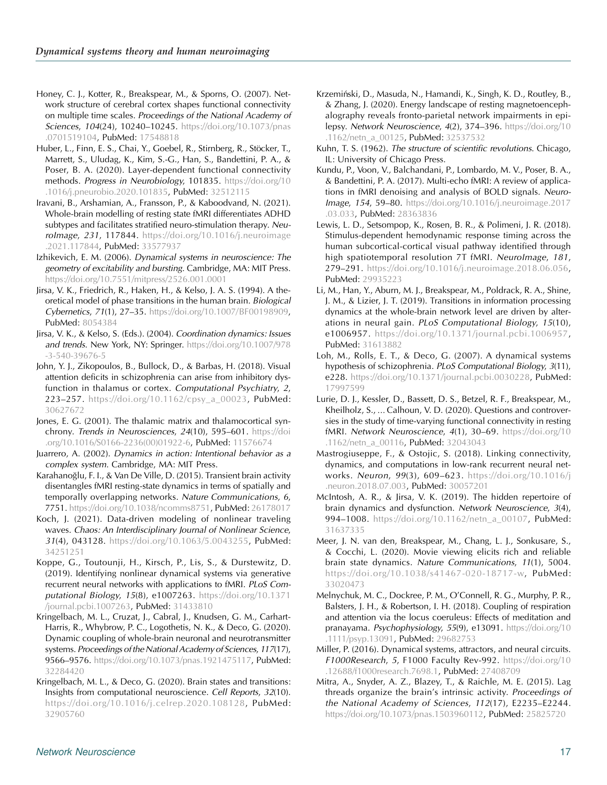- <span id="page-16-0"></span>Honey, C. J., Kotter, R., Breakspear, M., & Sporns, O. (2007). Network structure of cerebral cortex shapes functional connectivity on multiple time scales. Proceedings of the National Academy of Sciences, 104(24), 10240–10245. [https://doi.org/10.1073/pnas](https://doi.org/10.1073/pnas.0701519104) [.0701519104,](https://doi.org/10.1073/pnas.0701519104) PubMed: [17548818](https://pubmed.ncbi.nlm.nih.gov/17548818)
- Huber, L., Finn, E. S., Chai, Y., Goebel, R., Stirnberg, R., Stöcker, T., Marrett, S., Uludag, K., Kim, S.-G., Han, S., Bandettini, P. A., & Poser, B. A. (2020). Layer-dependent functional connectivity methods. Progress in Neurobiology, 101835. [https://doi.org/10](https://doi.org/10.1016/j.pneurobio.2020.101835) [.1016/j.pneurobio.2020.101835](https://doi.org/10.1016/j.pneurobio.2020.101835), PubMed: [32512115](https://pubmed.ncbi.nlm.nih.gov/32512115)
- Iravani, B., Arshamian, A., Fransson, P., & Kaboodvand, N. (2021). Whole-brain modelling of resting state fMRI differentiates ADHD subtypes and facilitates stratified neuro-stimulation therapy. NeuroImage, 231, 117844. [https://doi.org/10.1016/j.neuroimage](https://doi.org/10.1016/j.neuroimage.2021.117844) [.2021.117844,](https://doi.org/10.1016/j.neuroimage.2021.117844) PubMed: [33577937](https://pubmed.ncbi.nlm.nih.gov/33577937)
- Izhikevich, E. M. (2006). Dynamical systems in neuroscience: The geometry of excitability and bursting. Cambridge, MA: MIT Press. <https://doi.org/10.7551/mitpress/2526.001.0001>
- Jirsa, V. K., Friedrich, R., Haken, H., & Kelso, J. A. S. (1994). A theoretical model of phase transitions in the human brain. Biological Cybernetics, 71(1), 27–35. [https://doi.org/10.1007/BF00198909,](https://doi.org/10.1007/BF00198909) PubMed: [8054384](https://pubmed.ncbi.nlm.nih.gov/8054384)
- Jirsa, V. K., & Kelso, S. (Eds.). (2004). Coordination dynamics: Issues and trends. New York, NY: Springer. [https://doi.org/10.1007/978](https://doi.org/10.1007/978-3-540-39676-5) [-3-540-39676-5](https://doi.org/10.1007/978-3-540-39676-5)
- John, Y. J., Zikopoulos, B., Bullock, D., & Barbas, H. (2018). Visual attention deficits in schizophrenia can arise from inhibitory dysfunction in thalamus or cortex. Computational Psychiatry, 2, 223–257. [https://doi.org/10.1162/cpsy\\_a\\_00023,](https://doi.org/10.1162/cpsy_a_00023) PubMed: [30627672](https://pubmed.ncbi.nlm.nih.gov/30627672)
- Jones, E. G. (2001). The thalamic matrix and thalamocortical synchrony. Trends in Neurosciences, 24(10), 595-601. [https://doi](https://doi.org/10.1016/S0166-2236(00)01922-6) [.org/10.1016/S0166-2236\(00\)01922-6](https://doi.org/10.1016/S0166-2236(00)01922-6), PubMed: [11576674](https://pubmed.ncbi.nlm.nih.gov/11576674)
- Juarrero, A. (2002). Dynamics in action: Intentional behavior as a complex system. Cambridge, MA: MIT Press.
- Karahanoğlu, F. I., & Van De Ville, D. (2015). Transient brain activity disentangles fMRI resting-state dynamics in terms of spatially and temporally overlapping networks. Nature Communications, 6, 7751. <https://doi.org/10.1038/ncomms8751>, PubMed: [26178017](https://pubmed.ncbi.nlm.nih.gov/26178017)
- Koch, J. (2021). Data-driven modeling of nonlinear traveling waves. Chaos: An Interdisciplinary Journal of Nonlinear Science, 31(4), 043128. [https://doi.org/10.1063/5.0043255,](https://doi.org/10.1063/5.0043255) PubMed: [34251251](https://pubmed.ncbi.nlm.nih.gov/34251251)
- Koppe, G., Toutounji, H., Kirsch, P., Lis, S., & Durstewitz, D. (2019). Identifying nonlinear dynamical systems via generative recurrent neural networks with applications to fMRI. PLoS Computational Biology, 15(8), e1007263. [https://doi.org/10.1371](https://doi.org/10.1371/journal.pcbi.1007263) [/journal.pcbi.1007263,](https://doi.org/10.1371/journal.pcbi.1007263) PubMed: [31433810](https://pubmed.ncbi.nlm.nih.gov/31433810)
- Kringelbach, M. L., Cruzat, J., Cabral, J., Knudsen, G. M., Carhart-Harris, R., Whybrow, P. C., Logothetis, N. K., & Deco, G. (2020). Dynamic coupling of whole-brain neuronal and neurotransmitter systems. Proceedings of the National Academy of Sciences, 117(17), 9566–9576. <https://doi.org/10.1073/pnas.1921475117>, PubMed: [32284420](https://pubmed.ncbi.nlm.nih.gov/32284420)
- Kringelbach, M. L., & Deco, G. (2020). Brain states and transitions: Insights from computational neuroscience. Cell Reports, 32(10). [https://doi.org/10.1016/j.celrep.2020.108128,](https://doi.org/10.1016/j.celrep.2020.108128) PubMed: [32905760](https://pubmed.ncbi.nlm.nih.gov/32905760)
- Krzemiński, D., Masuda, N., Hamandi, K., Singh, K. D., Routley, B., & Zhang, J. (2020). Energy landscape of resting magnetoencephalography reveals fronto-parietal network impairments in epilepsy. Network Neuroscience, 4(2), 374–396. [https://doi.org/10](https://doi.org/10.1162/netn_a_00125) [.1162/netn\\_a\\_00125,](https://doi.org/10.1162/netn_a_00125) PubMed: [32537532](https://pubmed.ncbi.nlm.nih.gov/32537532)
- Kuhn, T. S. (1962). The structure of scientific revolutions. Chicago, IL: University of Chicago Press.
- Kundu, P., Voon, V., Balchandani, P., Lombardo, M. V., Poser, B. A., & Bandettini, P. A. (2017). Multi-echo fMRI: A review of applications in fMRI denoising and analysis of BOLD signals. Neuro-Image, 154, 59–80. [https://doi.org/10.1016/j.neuroimage.2017](https://doi.org/10.1016/j.neuroimage.2017.03.033) [.03.033,](https://doi.org/10.1016/j.neuroimage.2017.03.033) PubMed: [28363836](https://pubmed.ncbi.nlm.nih.gov/28363836)
- Lewis, L. D., Setsompop, K., Rosen, B. R., & Polimeni, J. R. (2018). Stimulus-dependent hemodynamic response timing across the human subcortical-cortical visual pathway identified through high spatiotemporal resolution 7T fMRI. NeuroImage, 181, 279–291. [https://doi.org/10.1016/j.neuroimage.2018.06.056,](https://doi.org/10.1016/j.neuroimage.2018.06.056) PubMed: [29935223](https://pubmed.ncbi.nlm.nih.gov/29935223)
- Li, M., Han, Y., Aburn, M. J., Breakspear, M., Poldrack, R. A., Shine, J. M., & Lizier, J. T. (2019). Transitions in information processing dynamics at the whole-brain network level are driven by alterations in neural gain. PLoS Computational Biology, 15(10), e1006957. [https://doi.org/10.1371/journal.pcbi.1006957,](https://doi.org/10.1371/journal.pcbi.1006957) PubMed: [31613882](https://pubmed.ncbi.nlm.nih.gov/31613882)
- Loh, M., Rolls, E. T., & Deco, G. (2007). A dynamical systems hypothesis of schizophrenia. PLoS Computational Biology, 3(11), e228. [https://doi.org/10.1371/journal.pcbi.0030228,](https://doi.org/10.1371/journal.pcbi.0030228) PubMed: [17997599](https://pubmed.ncbi.nlm.nih.gov/17997599)
- Lurie, D. J., Kessler, D., Bassett, D. S., Betzel, R. F., Breakspear, M., Kheilholz, S., … Calhoun, V. D. (2020). Questions and controversies in the study of time-varying functional connectivity in resting fMRI. Network Neuroscience, 4(1), 30–69. [https://doi.org/10](https://doi.org/10.1162/netn_a_00116) [.1162/netn\\_a\\_00116,](https://doi.org/10.1162/netn_a_00116) PubMed: [32043043](https://pubmed.ncbi.nlm.nih.gov/32043043)
- Mastrogiuseppe, F., & Ostojic, S. (2018). Linking connectivity, dynamics, and computations in low-rank recurrent neural networks. Neuron, 99(3), 609–623. [https://doi.org/10.1016/j](https://doi.org/10.1016/j.neuron.2018.07.003) [.neuron.2018.07.003](https://doi.org/10.1016/j.neuron.2018.07.003), PubMed: [30057201](https://pubmed.ncbi.nlm.nih.gov/30057201)
- McIntosh, A. R., & Jirsa, V. K. (2019). The hidden repertoire of brain dynamics and dysfunction. Network Neuroscience, 3(4), 994-1008. [https://doi.org/10.1162/netn\\_a\\_00107,](https://doi.org/10.1162/netn_a_00107) PubMed: [31637335](https://pubmed.ncbi.nlm.nih.gov/31637335)
- Meer, J. N. van den, Breakspear, M., Chang, L. J., Sonkusare, S., & Cocchi, L. (2020). Movie viewing elicits rich and reliable brain state dynamics. Nature Communications, 11(1), 5004. [https://doi.org/10.1038/s41467-020-18717-w,](https://doi.org/10.1038/s41467-020-18717-w) PubMed: [33020473](https://pubmed.ncbi.nlm.nih.gov/33020473)
- Melnychuk, M. C., Dockree, P. M., O'Connell, R. G., Murphy, P. R., Balsters, J. H., & Robertson, I. H. (2018). Coupling of respiration and attention via the locus coeruleus: Effects of meditation and pranayama. Psychophysiology, 55(9), e13091. [https://doi.org/10](https://doi.org/10.1111/psyp.13091) [.1111/psyp.13091](https://doi.org/10.1111/psyp.13091), PubMed: [29682753](https://pubmed.ncbi.nlm.nih.gov/29682753)
- Miller, P. (2016). Dynamical systems, attractors, and neural circuits. F1000Research, 5, F1000 Faculty Rev-992. [https://doi.org/10](https://doi.org/10.12688/f1000research.7698.1) [.12688/f1000research.7698.1](https://doi.org/10.12688/f1000research.7698.1), PubMed: [27408709](https://pubmed.ncbi.nlm.nih.gov/27408709)
- Mitra, A., Snyder, A. Z., Blazey, T., & Raichle, M. E. (2015). Lag threads organize the brain's intrinsic activity. Proceedings of the National Academy of Sciences, 112(17), E2235–E2244. [https://doi.org/10.1073/pnas.1503960112,](https://doi.org/10.1073/pnas.1503960112) PubMed: [25825720](https://pubmed.ncbi.nlm.nih.gov/25825720)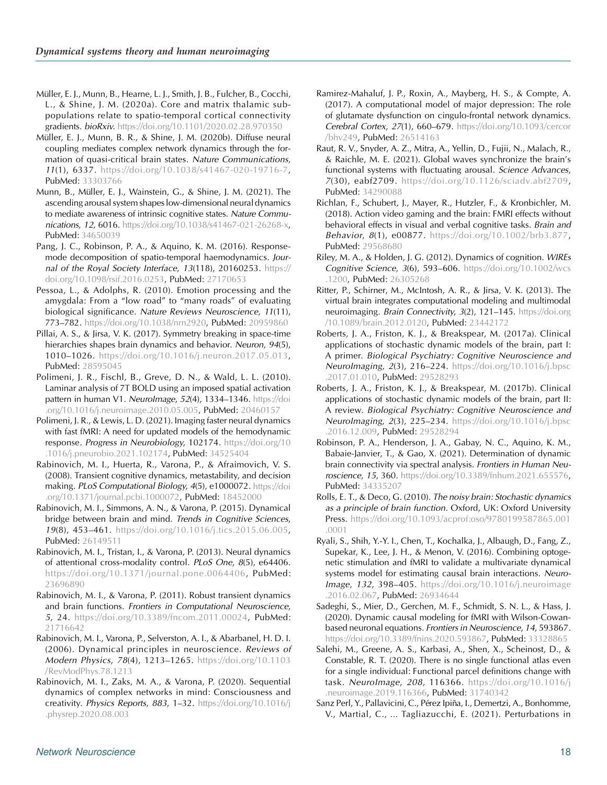- <span id="page-17-0"></span>Müller, E. J., Munn, B., Hearne, L. J., Smith, J. B., Fulcher, B., Cocchi, L., & Shine, J. M. (2020a). Core and matrix thalamic subpopulations relate to spatio-temporal cortical connectivity gradients. bioRxiv. <https://doi.org/10.1101/2020.02.28.970350>
- Müller, E. J., Munn, B. R., & Shine, J. M. (2020b). Diffuse neural coupling mediates complex network dynamics through the formation of quasi-critical brain states. Nature Communications, 11(1), 6337. [https://doi.org/10.1038/s41467-020-19716-7,](https://doi.org/10.1038/s41467-020-19716-7) PubMed: [33303766](https://pubmed.ncbi.nlm.nih.gov/33303766)
- Munn, B., Müller, E. J., Wainstein, G., & Shine, J. M. (2021). The ascending arousal system shapes low-dimensional neural dynamics to mediate awareness of intrinsic cognitive states. Nature Communications, 12, 6016. [https://doi.org/10.1038/s41467-021-26268-x,](https://doi.org/10.1038/s41467-021-26268-x) PubMed: [34650039](https://pubmed.ncbi.nlm.nih.gov/34650039)
- Pang, J. C., Robinson, P. A., & Aquino, K. M. (2016). Responsemode decomposition of spatio-temporal haemodynamics. Journal of the Royal Society Interface, 13(118), 20160253. [https://](https://doi.org/10.1098/rsif.2016.0253) [doi.org/10.1098/rsif.2016.0253,](https://doi.org/10.1098/rsif.2016.0253) PubMed: [27170653](https://pubmed.ncbi.nlm.nih.gov/27170653)
- Pessoa, L., & Adolphs, R. (2010). Emotion processing and the amygdala: From a "low road" to "many roads" of evaluating biological significance. Nature Reviews Neuroscience, 11(11), 773–782. [https://doi.org/10.1038/nrn2920,](https://doi.org/10.1038/nrn2920) PubMed: [20959860](https://pubmed.ncbi.nlm.nih.gov/20959860)
- Pillai, A. S., & Jirsa, V. K. (2017). Symmetry breaking in space-time hierarchies shapes brain dynamics and behavior. Neuron, 94(5), 1010–1026. [https://doi.org/10.1016/j.neuron.2017.05.013,](https://doi.org/10.1016/j.neuron.2017.05.013) PubMed: [28595045](https://pubmed.ncbi.nlm.nih.gov/28595045)
- Polimeni, J. R., Fischl, B., Greve, D. N., & Wald, L. L. (2010). Laminar analysis of 7T BOLD using an imposed spatial activation pattern in human V1. Neurolmage, 52(4), 1334-1346. [https://doi](https://doi.org/10.1016/j.neuroimage.2010.05.005) [.org/10.1016/j.neuroimage.2010.05.005](https://doi.org/10.1016/j.neuroimage.2010.05.005), PubMed: [20460157](https://pubmed.ncbi.nlm.nih.gov/20460157)
- Polimeni, J. R., & Lewis, L. D. (2021). Imaging faster neural dynamics with fast fMRI: A need for updated models of the hemodynamic response. Progress in Neurobiology, 102174. [https://doi.org/10](https://doi.org/10.1016/j.pneurobio.2021.102174) [.1016/j.pneurobio.2021.102174](https://doi.org/10.1016/j.pneurobio.2021.102174), PubMed: [34525404](https://pubmed.ncbi.nlm.nih.gov/34525404)
- Rabinovich, M. I., Huerta, R., Varona, P., & Afraimovich, V. S. (2008). Transient cognitive dynamics, metastability, and decision making. PLoS Computational Biology, 4(5), e1000072. [https://doi](https://doi.org/10.1371/journal.pcbi.1000072) [.org/10.1371/journal.pcbi.1000072](https://doi.org/10.1371/journal.pcbi.1000072), PubMed: [18452000](https://pubmed.ncbi.nlm.nih.gov/18452000)
- Rabinovich, M. I., Simmons, A. N., & Varona, P. (2015). Dynamical bridge between brain and mind. Trends in Cognitive Sciences, 19(8), 453–461. [https://doi.org/10.1016/j.tics.2015.06.005,](https://doi.org/10.1016/j.tics.2015.06.005) PubMed: [26149511](https://pubmed.ncbi.nlm.nih.gov/26149511)
- Rabinovich, M. I., Tristan, I., & Varona, P. (2013). Neural dynamics of attentional cross-modality control. PLoS One, 8(5), e64406. <https://doi.org/10.1371/journal.pone.0064406>, PubMed: [23696890](https://pubmed.ncbi.nlm.nih.gov/23696890)
- Rabinovich, M. I., & Varona, P. (2011). Robust transient dynamics and brain functions. Frontiers in Computational Neuroscience, 5, 24. [https://doi.org/10.3389/fncom.2011.00024,](https://doi.org/10.3389/fncom.2011.00024) PubMed: [21716642](https://pubmed.ncbi.nlm.nih.gov/21716642)
- Rabinovich, M. I., Varona, P., Selverston, A. I., & Abarbanel, H. D. I. (2006). Dynamical principles in neuroscience. Reviews of Modern Physics, 78(4), 1213–1265. [https://doi.org/10.1103](https://doi.org/10.1103/RevModPhys.78.1213) [/RevModPhys.78.1213](https://doi.org/10.1103/RevModPhys.78.1213)
- Rabinovich, M. I., Zaks, M. A., & Varona, P. (2020). Sequential dynamics of complex networks in mind: Consciousness and creativity. Physics Reports, 883, 1-32. [https://doi.org/10.1016/j](https://doi.org/10.1016/j.physrep.2020.08.003) [.physrep.2020.08.003](https://doi.org/10.1016/j.physrep.2020.08.003)
- Ramirez-Mahaluf, J. P., Roxin, A., Mayberg, H. S., & Compte, A. (2017). A computational model of major depression: The role of glutamate dysfunction on cingulo-frontal network dynamics. Cerebral Cortex, 27(1), 660–679. [https://doi.org/10.1093/cercor](https://doi.org/10.1093/cercor/bhv249) [/bhv249,](https://doi.org/10.1093/cercor/bhv249) PubMed: [26514163](https://pubmed.ncbi.nlm.nih.gov/26514163)
- Raut, R. V., Snyder, A. Z., Mitra, A., Yellin, D., Fujii, N., Malach, R., & Raichle, M. E. (2021). Global waves synchronize the brain's functional systems with fluctuating arousal. Science Advances, 7(30), eabf2709. [https://doi.org/10.1126/sciadv.abf2709,](https://doi.org/10.1126/sciadv.abf2709) PubMed: [34290088](https://pubmed.ncbi.nlm.nih.gov/34290088)
- Richlan, F., Schubert, J., Mayer, R., Hutzler, F., & Kronbichler, M. (2018). Action video gaming and the brain: FMRI effects without behavioral effects in visual and verbal cognitive tasks. Brain and Behavior, 8(1), e00877. [https://doi.org/10.1002/brb3.877,](https://doi.org/10.1002/brb3.877) PubMed: [29568680](https://pubmed.ncbi.nlm.nih.gov/29568680)
- Riley, M. A., & Holden, J. G. (2012). Dynamics of cognition. WIREs Cognitive Science, 3(6), 593–606. [https://doi.org/10.1002/wcs](https://doi.org/10.1002/wcs.1200) [.1200,](https://doi.org/10.1002/wcs.1200) PubMed: [26305268](https://pubmed.ncbi.nlm.nih.gov/26305268)
- Ritter, P., Schirner, M., McIntosh, A. R., & Jirsa, V. K. (2013). The virtual brain integrates computational modeling and multimodal neuroimaging. Brain Connectivity, 3(2), 121-145. [https://doi.org](https://doi.org/10.1089/brain.2012.0120) [/10.1089/brain.2012.0120,](https://doi.org/10.1089/brain.2012.0120) PubMed: [23442172](https://pubmed.ncbi.nlm.nih.gov/23442172)
- Roberts, J. A., Friston, K. J., & Breakspear, M. (2017a). Clinical applications of stochastic dynamic models of the brain, part I: A primer. Biological Psychiatry: Cognitive Neuroscience and NeuroImaging, 2(3), 216–224. [https://doi.org/10.1016/j.bpsc](https://doi.org/10.1016/j.bpsc.2017.01.010) [.2017.01.010](https://doi.org/10.1016/j.bpsc.2017.01.010), PubMed: [29528293](https://pubmed.ncbi.nlm.nih.gov/29528293)
- Roberts, J. A., Friston, K. J., & Breakspear, M. (2017b). Clinical applications of stochastic dynamic models of the brain, part II: A review. Biological Psychiatry: Cognitive Neuroscience and NeuroImaging, 2(3), 225–234. [https://doi.org/10.1016/j.bpsc](https://doi.org/10.1016/j.bpsc.2016.12.009) [.2016.12.009](https://doi.org/10.1016/j.bpsc.2016.12.009), PubMed: [29528294](https://pubmed.ncbi.nlm.nih.gov/29528294)
- Robinson, P. A., Henderson, J. A., Gabay, N. C., Aquino, K. M., Babaie-Janvier, T., & Gao, X. (2021). Determination of dynamic brain connectivity via spectral analysis. Frontiers in Human Neuroscience, 15, 360. [https://doi.org/10.3389/fnhum.2021.655576,](https://doi.org/10.3389/fnhum.2021.655576) PubMed: [34335207](https://pubmed.ncbi.nlm.nih.gov/34335207)
- Rolls, E. T., & Deco, G. (2010). The noisy brain: Stochastic dynamics as a principle of brain function. Oxford, UK: Oxford University Press. [https://doi.org/10.1093/acprof:oso/9780199587865.001](https://doi.org/10.1093/acprof:oso/9780199587865.001.0001) [.0001](https://doi.org/10.1093/acprof:oso/9780199587865.001.0001)
- Ryali, S., Shih, Y.-Y. I., Chen, T., Kochalka, J., Albaugh, D., Fang, Z., Supekar, K., Lee, J. H., & Menon, V. (2016). Combining optogenetic stimulation and fMRI to validate a multivariate dynamical systems model for estimating causal brain interactions. Neuro-Image, 132, 398–405. [https://doi.org/10.1016/j.neuroimage](https://doi.org/10.1016/j.neuroimage.2016.02.067) [.2016.02.067](https://doi.org/10.1016/j.neuroimage.2016.02.067), PubMed: [26934644](https://pubmed.ncbi.nlm.nih.gov/26934644)
- Sadeghi, S., Mier, D., Gerchen, M. F., Schmidt, S. N. L., & Hass, J. (2020). Dynamic causal modeling for fMRI with Wilson-Cowanbased neuronal equations. Frontiers in Neuroscience, 14, 593867. [https://doi.org/10.3389/fnins.2020.593867,](https://doi.org/10.3389/fnins.2020.593867) PubMed: [33328865](https://pubmed.ncbi.nlm.nih.gov/33328865)
- Salehi, M., Greene, A. S., Karbasi, A., Shen, X., Scheinost, D., & Constable, R. T. (2020). There is no single functional atlas even for a single individual: Functional parcel definitions change with task. NeuroImage, 208, 116366. [https://doi.org/10.1016/j](https://doi.org/10.1016/j.neuroimage.2019.116366) [.neuroimage.2019.116366,](https://doi.org/10.1016/j.neuroimage.2019.116366) PubMed: [31740342](https://pubmed.ncbi.nlm.nih.gov/31740342)
- Sanz Perl, Y., Pallavicini, C., Pérez Ipiña, I., Demertzi, A., Bonhomme, V., Martial, C., … Tagliazucchi, E. (2021). Perturbations in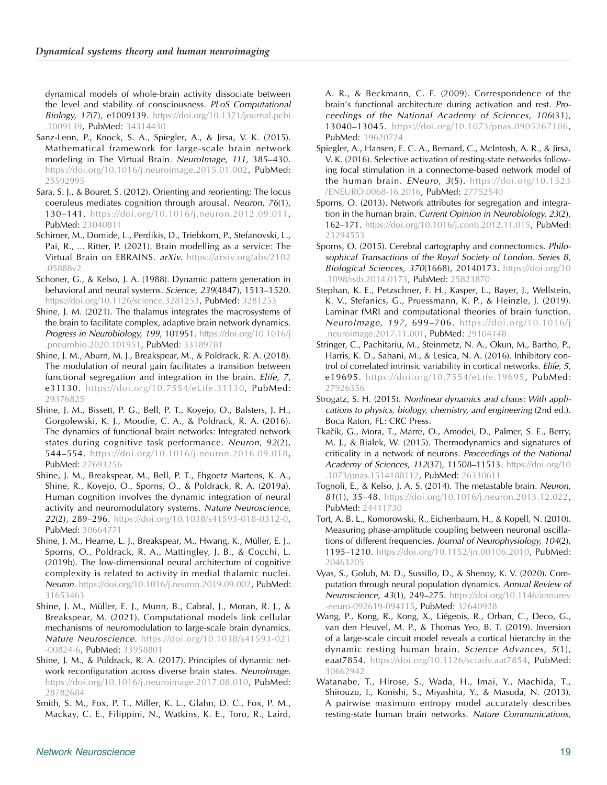<span id="page-18-0"></span>dynamical models of whole-brain activity dissociate between the level and stability of consciousness. PLoS Computational Biology, 17(7), e1009139. [https://doi.org/10.1371/journal.pcbi](https://doi.org/10.1371/journal.pcbi.1009139) [.1009139,](https://doi.org/10.1371/journal.pcbi.1009139) PubMed: [34314430](https://pubmed.ncbi.nlm.nih.gov/34314430)

- Sanz-Leon, P., Knock, S. A., Spiegler, A., & Jirsa, V. K. (2015). Mathematical framework for large-scale brain network modeling in The Virtual Brain. NeuroImage, 111, 385–430. <https://doi.org/10.1016/j.neuroimage.2015.01.002>, PubMed: [25592995](https://pubmed.ncbi.nlm.nih.gov/25592995)
- Sara, S. J., & Bouret, S. (2012). Orienting and reorienting: The locus coeruleus mediates cognition through arousal. Neuron, 76(1), 130–141. [https://doi.org/10.1016/j.neuron.2012.09.011,](https://doi.org/10.1016/j.neuron.2012.09.011) PubMed: [23040811](https://pubmed.ncbi.nlm.nih.gov/23040811)
- Schirner, M., Domide, L., Perdikis, D., Triebkorn, P., Stefanovski, L., Pai, R., … Ritter, P. (2021). Brain modelling as a service: The Virtual Brain on EBRAINS. arXiv. [https://arxiv.org/abs/2102](https://arxiv.org/abs/2102.05888v2) [.05888v2](https://arxiv.org/abs/2102.05888v2)
- Schoner, G., & Kelso, J. A. (1988). Dynamic pattern generation in behavioral and neural systems. Science, 239(4847), 1513–1520. <https://doi.org/10.1126/science.3281253>, PubMed: [3281253](https://pubmed.ncbi.nlm.nih.gov/3281253)
- Shine, J. M. (2021). The thalamus integrates the macrosystems of the brain to facilitate complex, adaptive brain network dynamics. Progress in Neurobiology, 199, 101951. [https://doi.org/10.1016/j](https://doi.org/10.1016/j.pneurobio.2020.101951) [.pneurobio.2020.101951](https://doi.org/10.1016/j.pneurobio.2020.101951), PubMed: [33189781](https://pubmed.ncbi.nlm.nih.gov/33189781)
- Shine, J. M., Aburn, M. J., Breakspear, M., & Poldrack, R. A. (2018). The modulation of neural gain facilitates a transition between functional segregation and integration in the brain. Elife, 7, e31130. [https://doi.org/10.7554/eLife.31130,](https://doi.org/10.7554/eLife.31130) PubMed: [29376825](https://pubmed.ncbi.nlm.nih.gov/29376825)
- Shine, J. M., Bissett, P. G., Bell, P. T., Koyejo, O., Balsters, J. H., Gorgolewski, K. J., Moodie, C. A., & Poldrack, R. A. (2016). The dynamics of functional brain networks: Integrated network states during cognitive task performance. Neuron, 92(2), 544–554. [https://doi.org/10.1016/j.neuron.2016.09.018,](https://doi.org/10.1016/j.neuron.2016.09.018) PubMed: [27693256](https://pubmed.ncbi.nlm.nih.gov/27693256)
- Shine, J. M., Breakspear, M., Bell, P. T., Ehgoetz Martens, K. A., Shine, R., Koyejo, O., Sporns, O., & Poldrack, R. A. (2019a). Human cognition involves the dynamic integration of neural activity and neuromodulatory systems. Nature Neuroscience, 22(2), 289–296. [https://doi.org/10.1038/s41593-018-0312-0,](https://doi.org/10.1038/s41593-018-0312-0) PubMed: [30664771](https://pubmed.ncbi.nlm.nih.gov/30664771)
- Shine, J. M., Hearne, L. J., Breakspear, M., Hwang, K., Müller, E. J., Sporns, O., Poldrack, R. A., Mattingley, J. B., & Cocchi, L. (2019b). The low-dimensional neural architecture of cognitive complexity is related to activity in medial thalamic nuclei. Neuron. [https://doi.org/10.1016/j.neuron.2019.09.002,](https://doi.org/10.1016/j.neuron.2019.09.002) PubMed: [31653463](https://pubmed.ncbi.nlm.nih.gov/31653463)
- Shine, J. M., Müller, E. J., Munn, B., Cabral, J., Moran, R. J., & Breakspear, M. (2021). Computational models link cellular mechanisms of neuromodulation to large-scale brain dynamics. Nature Neuroscience. [https://doi.org/10.1038/s41593-021](https://doi.org/10.1038/s41593-021-00824-6) [-00824-6](https://doi.org/10.1038/s41593-021-00824-6), PubMed: [33958801](https://pubmed.ncbi.nlm.nih.gov/33958801)
- Shine, J. M., & Poldrack, R. A. (2017). Principles of dynamic network reconfiguration across diverse brain states. NeuroImage. [https://doi.org/10.1016/j.neuroimage.2017.08.010,](https://doi.org/10.1016/j.neuroimage.2017.08.010) PubMed: [28782684](https://pubmed.ncbi.nlm.nih.gov/28782684)
- Smith, S. M., Fox, P. T., Miller, K. L., Glahn, D. C., Fox, P. M., Mackay, C. E., Filippini, N., Watkins, K. E., Toro, R., Laird,

A. R., & Beckmann, C. F. (2009). Correspondence of the brain's functional architecture during activation and rest. Proceedings of the National Academy of Sciences, 106(31), 13040–13045. [https://doi.org/10.1073/pnas.0905267106,](https://doi.org/10.1073/pnas.0905267106) PubMed: [19620724](https://pubmed.ncbi.nlm.nih.gov/19620724)

- Spiegler, A., Hansen, E. C. A., Bernard, C., McIntosh, A. R., & Jirsa, V. K. (2016). Selective activation of resting-state networks following focal stimulation in a connectome-based network model of the human brain. ENeuro,  $3(5)$ . [https://doi.org/10.1523](https://doi.org/10.1523/ENEURO.0068-16.2016) [/ENEURO.0068-16.2016,](https://doi.org/10.1523/ENEURO.0068-16.2016) PubMed: [27752540](https://pubmed.ncbi.nlm.nih.gov/27752540)
- Sporns, O. (2013). Network attributes for segregation and integration in the human brain. Current Opinion in Neurobiology, 23(2), 162–171. <https://doi.org/10.1016/j.conb.2012.11.015>, PubMed: [23294553](https://pubmed.ncbi.nlm.nih.gov/23294553)
- Sporns, O. (2015). Cerebral cartography and connectomics. Philosophical Transactions of the Royal Society of London. Series B, Biological Sciences, 370(1668), 20140173. [https://doi.org/10](https://doi.org/10.1098/rstb.2014.0173) [.1098/rstb.2014.0173](https://doi.org/10.1098/rstb.2014.0173), PubMed: [25823870](https://pubmed.ncbi.nlm.nih.gov/25823870)
- Stephan, K. E., Petzschner, F. H., Kasper, L., Bayer, J., Wellstein, K. V., Stefanics, G., Pruessmann, K. P., & Heinzle, J. (2019). Laminar fMRI and computational theories of brain function. NeuroImage, 197, 699–706. [https://doi.org/10.1016/j](https://doi.org/10.1016/j.neuroimage.2017.11.001) [.neuroimage.2017.11.001](https://doi.org/10.1016/j.neuroimage.2017.11.001), PubMed: [29104148](https://pubmed.ncbi.nlm.nih.gov/29104148)
- Stringer, C., Pachitariu, M., Steinmetz, N. A., Okun, M., Bartho, P., Harris, K. D., Sahani, M., & Lesica, N. A. (2016). Inhibitory control of correlated intrinsic variability in cortical networks. Elife, 5, e19695. [https://doi.org/10.7554/eLife.19695,](https://doi.org/10.7554/eLife.19695) PubMed: [27926356](https://pubmed.ncbi.nlm.nih.gov/27926356)
- Strogatz, S. H. (2015). Nonlinear dynamics and chaos: With applications to physics, biology, chemistry, and engineering (2nd ed.). Boca Raton, FL: CRC Press.
- Tkačik, G., Mora, T., Marre, O., Amodei, D., Palmer, S. E., Berry, M. J., & Bialek, W. (2015). Thermodynamics and signatures of criticality in a network of neurons. Proceedings of the National Academy of Sciences, 112(37), 11508–11513. [https://doi.org/10](https://doi.org/10.1073/pnas.1514188112) [.1073/pnas.1514188112,](https://doi.org/10.1073/pnas.1514188112) PubMed: [26330611](https://pubmed.ncbi.nlm.nih.gov/26330611)
- Tognoli, E., & Kelso, J. A. S. (2014). The metastable brain. Neuron, 81(1), 35–48. [https://doi.org/10.1016/j.neuron.2013.12.022,](https://doi.org/10.1016/j.neuron.2013.12.022) PubMed: [24411730](https://pubmed.ncbi.nlm.nih.gov/24411730)
- Tort, A. B. L., Komorowski, R., Eichenbaum, H., & Kopell, N. (2010). Measuring phase-amplitude coupling between neuronal oscillations of different frequencies. Journal of Neurophysiology, 104(2), 1195–1210. <https://doi.org/10.1152/jn.00106.2010>, PubMed: [20463205](https://pubmed.ncbi.nlm.nih.gov/20463205)
- Vyas, S., Golub, M. D., Sussillo, D., & Shenoy, K. V. (2020). Computation through neural population dynamics. Annual Review of Neuroscience, 43(1), 249–275. [https://doi.org/10.1146/annurev](https://doi.org/10.1146/annurev-neuro-092619-094115) [-neuro-092619-094115,](https://doi.org/10.1146/annurev-neuro-092619-094115) PubMed: [32640928](https://pubmed.ncbi.nlm.nih.gov/32640928)
- Wang, P., Kong, R., Kong, X., Liégeois, R., Orban, C., Deco, G., van den Heuvel, M. P., & Thomas Yeo, B. T. (2019). Inversion of a large-scale circuit model reveals a cortical hierarchy in the dynamic resting human brain. Science Advances, 5(1), eaat7854. <https://doi.org/10.1126/sciadv.aat7854>, PubMed: [30662942](https://pubmed.ncbi.nlm.nih.gov/30662942)
- Watanabe, T., Hirose, S., Wada, H., Imai, Y., Machida, T., Shirouzu, I., Konishi, S., Miyashita, Y., & Masuda, N. (2013). A pairwise maximum entropy model accurately describes resting-state human brain networks. Nature Communications,